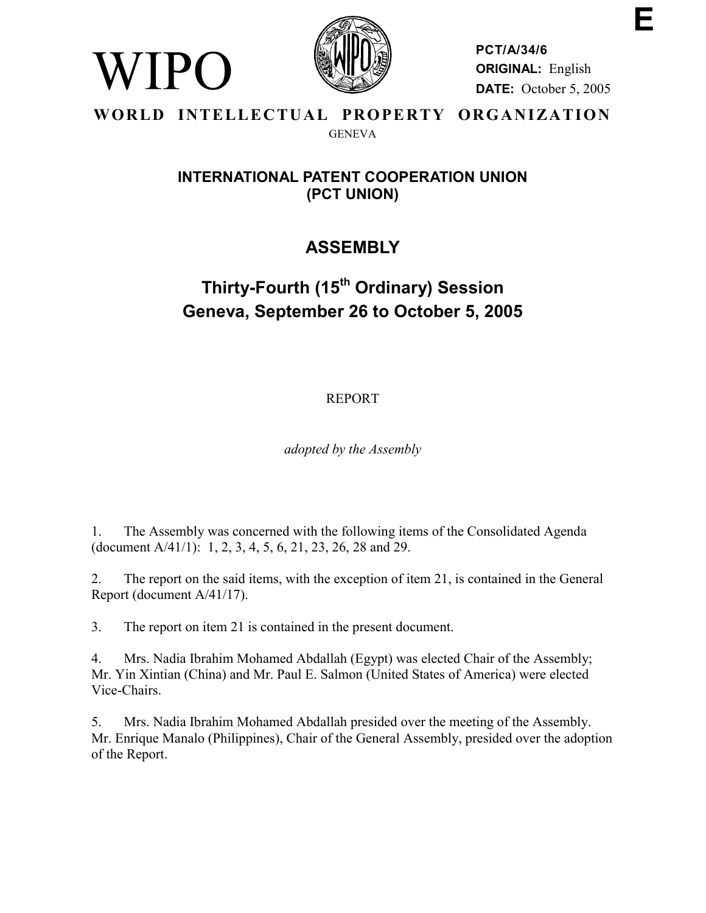

 $\mathsf{IP}(\cdot)$ 

**PCT/A/34/6 ORIGINAL:** English **DATE:** October 5, 2005

# **WORLD INTELLECTUAL PROPERTY ORGANIZATION**

GENEVA

# **INTERNATIONAL PATENT COOPERATION UNION (PCT UNION)**

# **ASSEMBLY**

# **Thirty-Fourth (15th Ordinary) Session Geneva, September 26 to October 5, 2005**

REPORT

*adopted by the Assembly*

1. The Assembly was concerned with the following items of the Consolidated Agenda (document A/41/1): 1, 2, 3, 4, 5, 6, 21, 23, 26, 28 and 29.

2. The report on the said items, with the exception of item 21, is contained in the General Report (document A/41/17).

3. The report on item 21 is contained in the present document.

4. Mrs. Nadia Ibrahim Mohamed Abdallah (Egypt) was elected Chair of the Assembly; Mr. Yin Xintian (China) and Mr. Paul E. Salmon (United States of America) were elected Vice-Chairs.

5. Mrs. Nadia Ibrahim Mohamed Abdallah presided over the meeting of the Assembly. Mr. Enrique Manalo (Philippines), Chair of the General Assembly, presided over the adoption of the Report.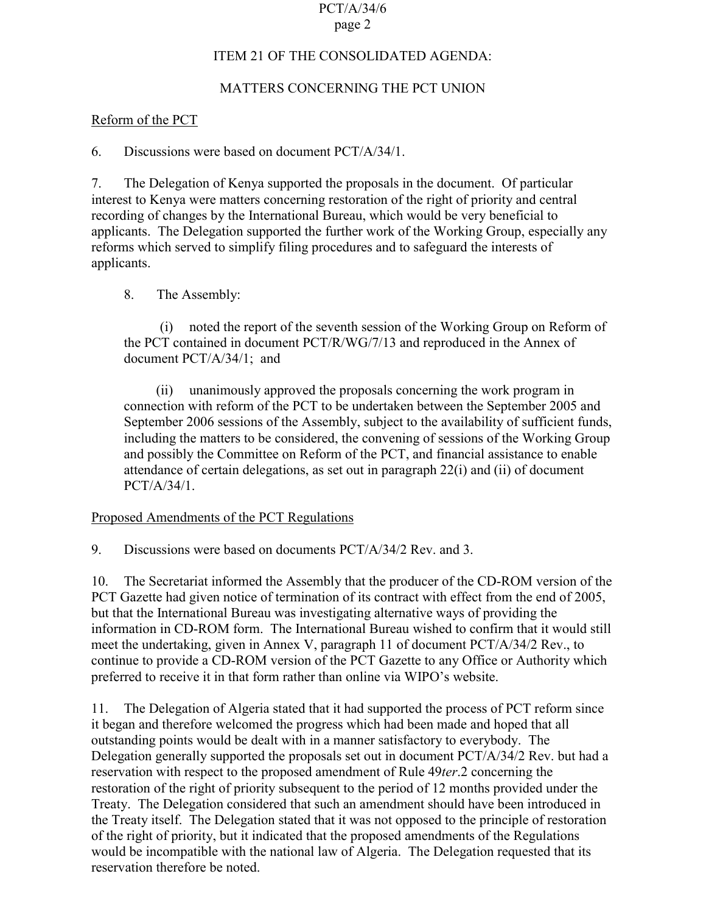#### PCT/A/34/6 page 2

## ITEM 21 OF THE CONSOLIDATED AGENDA:

# MATTERS CONCERNING THE PCT UNION

## Reform of the PCT

6. Discussions were based on document PCT/A/34/1.

7. The Delegation of Kenya supported the proposals in the document. Of particular interest to Kenya were matters concerning restoration of the right of priority and central recording of changes by the International Bureau, which would be very beneficial to applicants. The Delegation supported the further work of the Working Group, especially any reforms which served to simplify filing procedures and to safeguard the interests of applicants.

8. The Assembly:

(i) noted the report of the seventh session of the Working Group on Reform of the PCT contained in document PCT/R/WG/7/13 and reproduced in the Annex of document PCT/A/34/1; and

(ii) unanimously approved the proposals concerning the work program in connection with reform of the PCT to be undertaken between the September 2005 and September 2006 sessions of the Assembly, subject to the availability of sufficient funds, including the matters to be considered, the convening of sessions of the Working Group and possibly the Committee on Reform of the PCT, and financial assistance to enable attendance of certain delegations, as set out in paragraph 22(i) and (ii) of document PCT/A/34/1.

# Proposed Amendments of the PCT Regulations

9. Discussions were based on documents PCT/A/34/2 Rev. and 3.

10. The Secretariat informed the Assembly that the producer of the CD-ROM version of the PCT Gazette had given notice of termination of its contract with effect from the end of 2005, but that the International Bureau was investigating alternative ways of providing the information in CD-ROM form. The International Bureau wished to confirm that it would still meet the undertaking, given in Annex V, paragraph 11 of document PCT/A/34/2 Rev., to continue to provide a CD-ROM version of the PCT Gazette to any Office or Authority which preferred to receive it in that form rather than online via WIPO's website.

11. The Delegation of Algeria stated that it had supported the process of PCT reform since it began and therefore welcomed the progress which had been made and hoped that all outstanding points would be dealt with in a manner satisfactory to everybody. The Delegation generally supported the proposals set out in document PCT/A/34/2 Rev. but had a reservation with respect to the proposed amendment of Rule 49*ter*.2 concerning the restoration of the right of priority subsequent to the period of 12 months provided under the Treaty. The Delegation considered that such an amendment should have been introduced in the Treaty itself. The Delegation stated that it was not opposed to the principle of restoration of the right of priority, but it indicated that the proposed amendments of the Regulations would be incompatible with the national law of Algeria. The Delegation requested that its reservation therefore be noted.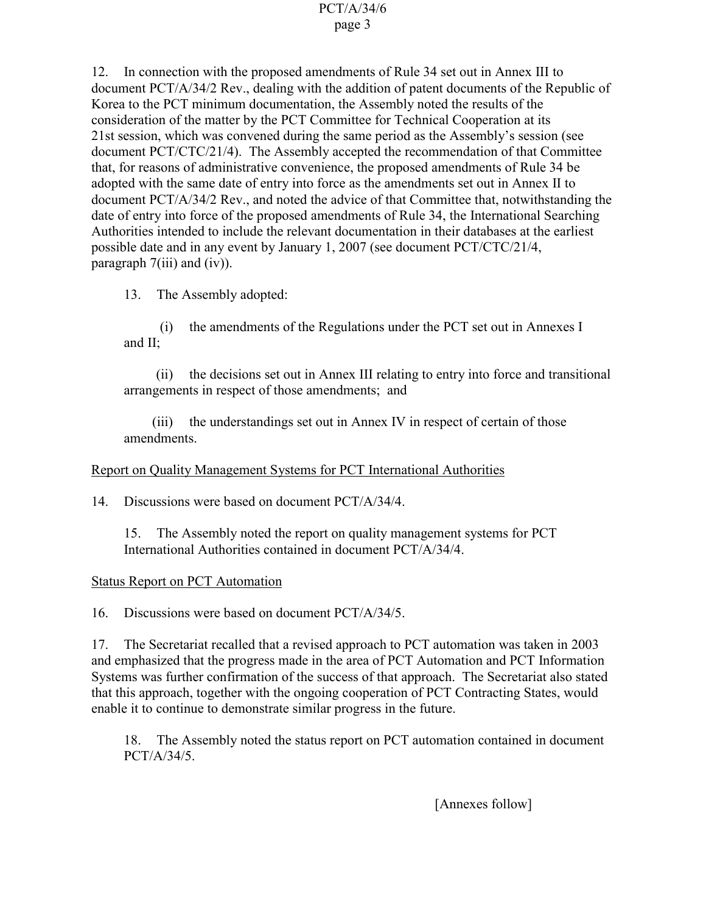#### PCT/A/34/6 page 3

12. In connection with the proposed amendments of Rule 34 set out in Annex III to document PCT/A/34/2 Rev., dealing with the addition of patent documents of the Republic of Korea to the PCT minimum documentation, the Assembly noted the results of the consideration of the matter by the PCT Committee for Technical Cooperation at its 21st session, which was convened during the same period as the Assembly's session (see document PCT/CTC/21/4). The Assembly accepted the recommendation of that Committee that, for reasons of administrative convenience, the proposed amendments of Rule 34 be adopted with the same date of entry into force as the amendments set out in Annex II to document PCT/A/34/2 Rev., and noted the advice of that Committee that, notwithstanding the date of entry into force of the proposed amendments of Rule 34, the International Searching Authorities intended to include the relevant documentation in their databases at the earliest possible date and in any event by January 1, 2007 (see document PCT/CTC/21/4, paragraph 7(iii) and (iv)).

13. The Assembly adopted:

(i) the amendments of the Regulations under the PCT set out in Annexes I and II;

(ii) the decisions set out in Annex III relating to entry into force and transitional arrangements in respect of those amendments; and

(iii) the understandings set out in Annex IV in respect of certain of those amendments.

# Report on Quality Management Systems for PCT International Authorities

14. Discussions were based on document PCT/A/34/4.

15. The Assembly noted the report on quality management systems for PCT International Authorities contained in document PCT/A/34/4.

#### Status Report on PCT Automation

16. Discussions were based on document PCT/A/34/5.

17. The Secretariat recalled that a revised approach to PCT automation was taken in 2003 and emphasized that the progress made in the area of PCT Automation and PCT Information Systems was further confirmation of the success of that approach. The Secretariat also stated that this approach, together with the ongoing cooperation of PCT Contracting States, would enable it to continue to demonstrate similar progress in the future.

18. The Assembly noted the status report on PCT automation contained in document PCT/A/34/5.

[Annexes follow]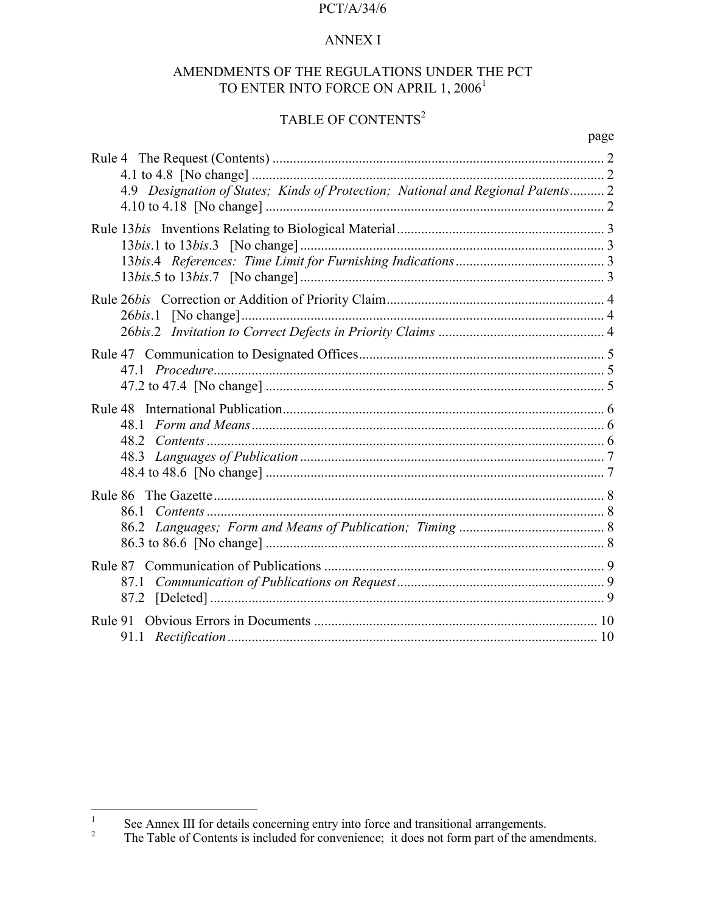# $PCT/A/34/6$

#### **ANNEX I**

# AMENDMENTS OF THE REGULATIONS UNDER THE PCT TO ENTER INTO FORCE ON APRIL 1, 2006<sup>1</sup>

# TABLE OF CONTENTS<sup>2</sup>

| 4.9 Designation of States; Kinds of Protection; National and Regional Patents 2 |  |
|---------------------------------------------------------------------------------|--|
|                                                                                 |  |
|                                                                                 |  |
|                                                                                 |  |
|                                                                                 |  |
|                                                                                 |  |
|                                                                                 |  |
|                                                                                 |  |
|                                                                                 |  |
|                                                                                 |  |
|                                                                                 |  |
|                                                                                 |  |
|                                                                                 |  |
|                                                                                 |  |
|                                                                                 |  |
|                                                                                 |  |
|                                                                                 |  |
|                                                                                 |  |
|                                                                                 |  |
|                                                                                 |  |
|                                                                                 |  |
|                                                                                 |  |
|                                                                                 |  |
|                                                                                 |  |
|                                                                                 |  |
|                                                                                 |  |
| Rule 91                                                                         |  |
|                                                                                 |  |

 $\,1$ See Annex III for details concerning entry into force and transitional arrangements.

 $\sqrt{2}$ The Table of Contents is included for convenience; it does not form part of the amendments.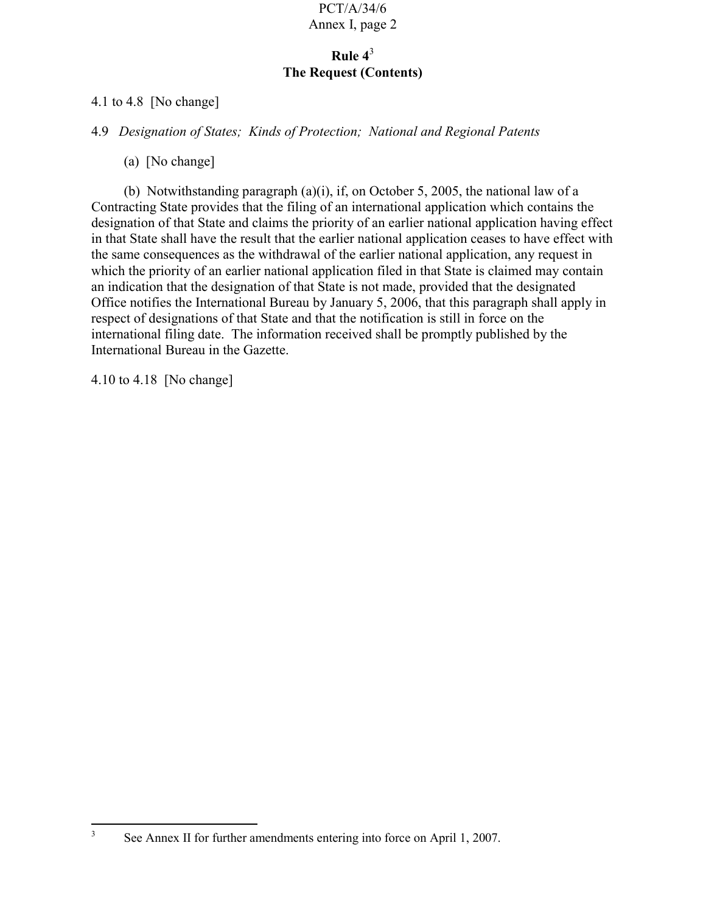# **Rule**  $4^3$ **The Request (Contents)**

4.1 to 4.8 [No change]

4.9 *Designation of States; Kinds of Protection; National and Regional Patents*

(a) [No change]

(b) Notwithstanding paragraph (a)(i), if, on October 5, 2005, the national law of a Contracting State provides that the filing of an international application which contains the designation of that State and claims the priority of an earlier national application having effect in that State shall have the result that the earlier national application ceases to have effect with the same consequences as the withdrawal of the earlier national application, any request in which the priority of an earlier national application filed in that State is claimed may contain an indication that the designation of that State is not made, provided that the designated Office notifies the International Bureau by January 5, 2006, that this paragraph shall apply in respect of designations of that State and that the notification is still in force on the international filing date. The information received shall be promptly published by the International Bureau in the Gazette.

4.10 to 4.18 [No change]

 $\overline{\mathbf{3}}$ See Annex II for further amendments entering into force on April 1, 2007.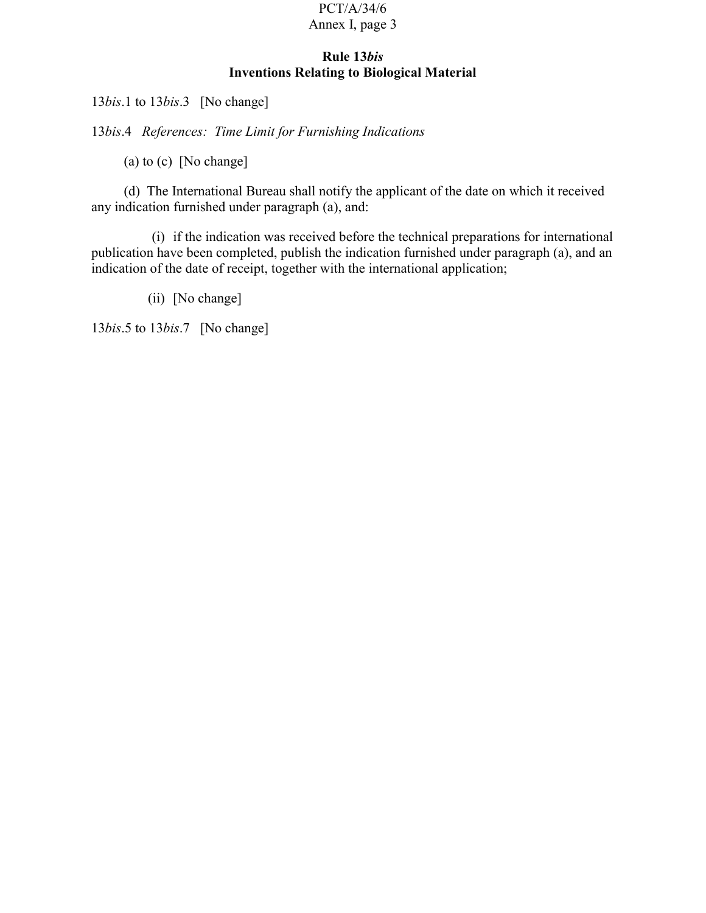# **Rule 13***bis* **Inventions Relating to Biological Material**

13*bis*.1 to 13*bis*.3 [No change]

13*bis*.4 *References: Time Limit for Furnishing Indications*

(a) to (c) [No change]

(d) The International Bureau shall notify the applicant of the date on which it received any indication furnished under paragraph (a), and:

(i) if the indication was received before the technical preparations for international publication have been completed, publish the indication furnished under paragraph (a), and an indication of the date of receipt, together with the international application;

(ii) [No change]

13*bis*.5 to 13*bis*.7 [No change]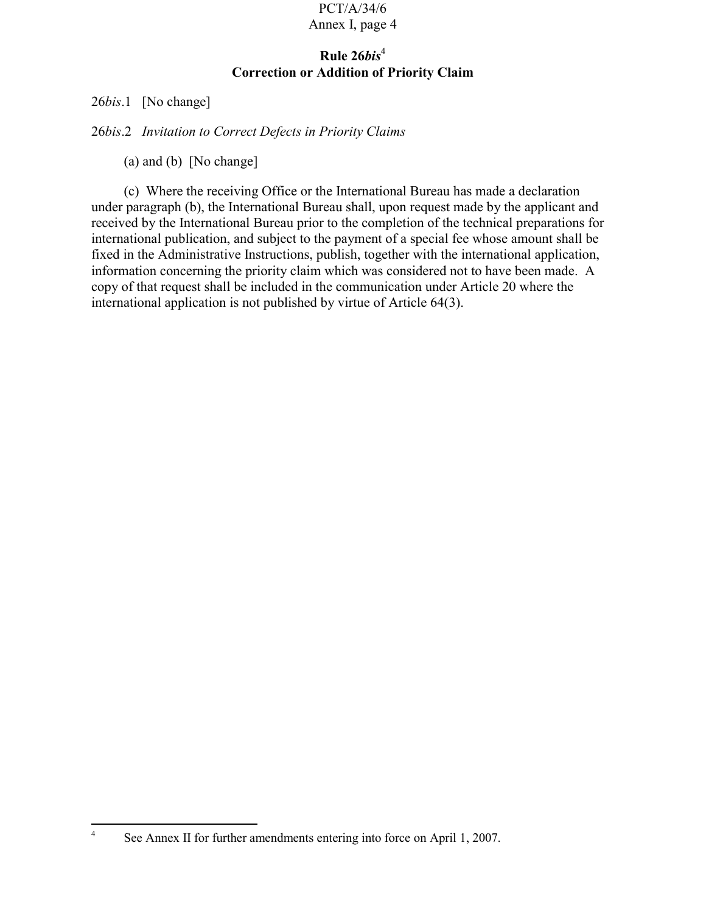# **Rule 26** $b$ *is***<sup>4</sup> Correction or Addition of Priority Claim**

26*bis*.1 [No change]

26*bis*.2 *Invitation to Correct Defects in Priority Claims*

(a) and (b) [No change]

(c) Where the receiving Office or the International Bureau has made a declaration under paragraph (b), the International Bureau shall, upon request made by the applicant and received by the International Bureau prior to the completion of the technical preparations for international publication, and subject to the payment of a special fee whose amount shall be fixed in the Administrative Instructions, publish, together with the international application, information concerning the priority claim which was considered not to have been made. A copy of that request shall be included in the communication under Article 20 where the international application is not published by virtue of Article 64(3).

 $\overline{4}$ See Annex II for further amendments entering into force on April 1, 2007.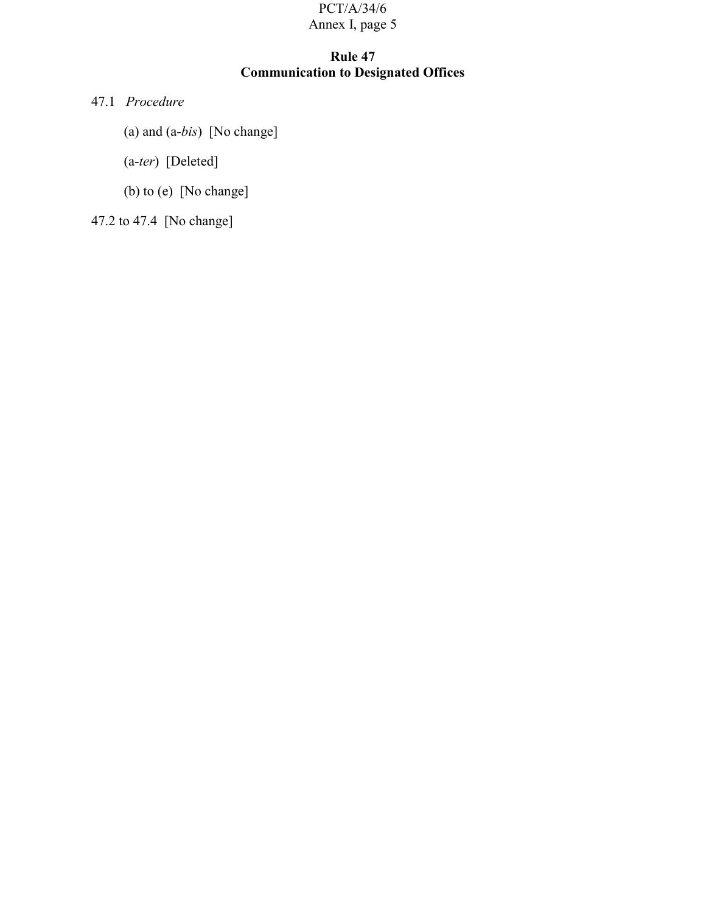# **Rule 47 Communication to Designated Offices**

47.1 *Procedure*

(a) and (a-*bis*) [No change]

(a-*ter*) [Deleted]

(b) to (e) [No change]

47.2 to 47.4 [No change]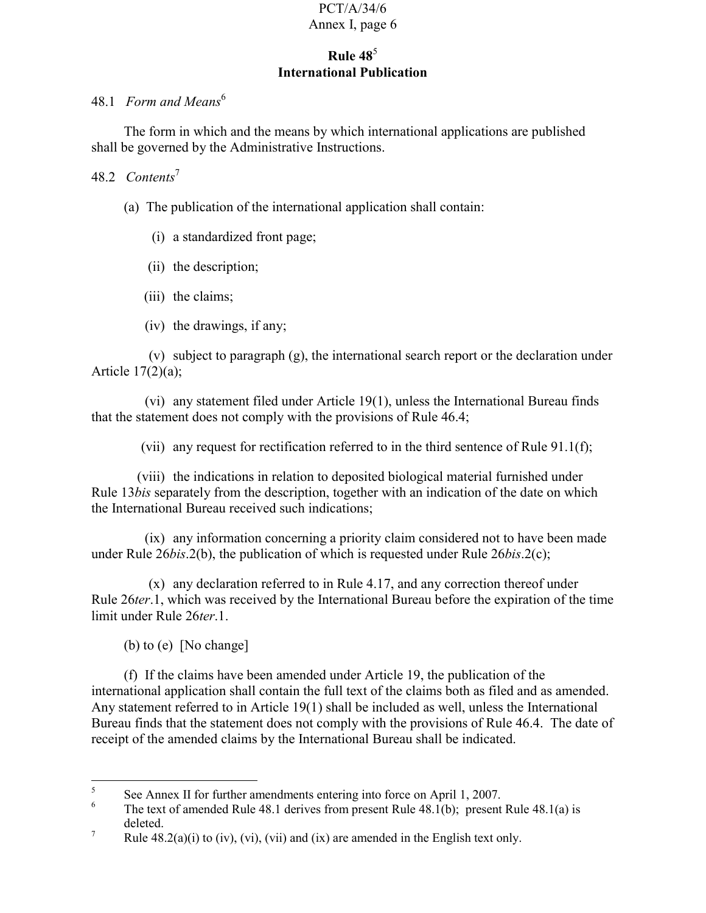# **Rule 48**<sup>5</sup> **International Publication**

### 48.1 *Form and Means*<sup>6</sup>

The form in which and the means by which international applications are published shall be governed by the Administrative Instructions.

# 48.2 *Contents*<sup>7</sup>

- (a) The publication of the international application shall contain:
	- (i) a standardized front page;
	- (ii) the description;
	- (iii) the claims;
	- (iv) the drawings, if any;

(v) subject to paragraph (g), the international search report or the declaration under Article  $17(2)(a)$ ;

(vi) any statement filed under Article 19(1), unless the International Bureau finds that the statement does not comply with the provisions of Rule 46.4;

(vii) any request for rectification referred to in the third sentence of Rule  $91.1(f)$ ;

(viii) the indications in relation to deposited biological material furnished under Rule 13*bis* separately from the description, together with an indication of the date on which the International Bureau received such indications;

(ix) any information concerning a priority claim considered not to have been made under Rule 26*bis*.2(b), the publication of which is requested under Rule 26*bis*.2(c);

(x) any declaration referred to in Rule 4.17, and any correction thereof under Rule 26*ter*.1, which was received by the International Bureau before the expiration of the time limit under Rule 26*ter*.1.

(b) to (e) [No change]

(f) If the claims have been amended under Article 19, the publication of the international application shall contain the full text of the claims both as filed and as amended. Any statement referred to in Article 19(1) shall be included as well, unless the International Bureau finds that the statement does not comply with the provisions of Rule 46.4. The date of receipt of the amended claims by the International Bureau shall be indicated.

 $\mathfrak{s}$ <sup>5</sup> See Annex II for further amendments entering into force on April 1, 2007.

<sup>6</sup> The text of amended Rule 48.1 derives from present Rule 48.1(b); present Rule 48.1(a) is deleted.

<sup>&</sup>lt;sup>7</sup> Rule  $48.2(a)(i)$  to (iv), (vi), (vii) and (ix) are amended in the English text only.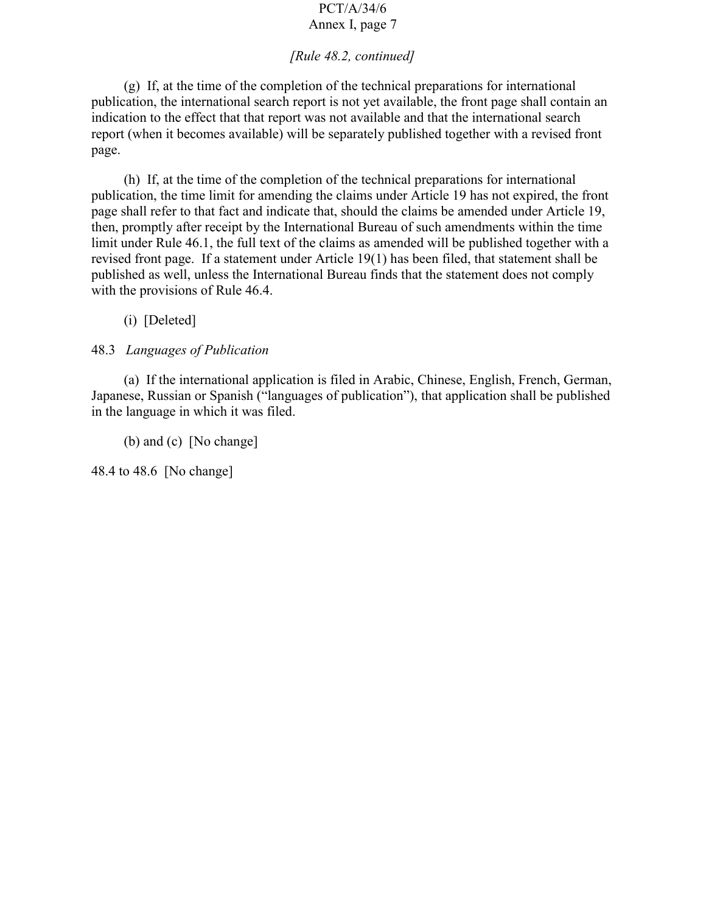## *[Rule 48.2, continued]*

(g) If, at the time of the completion of the technical preparations for international publication, the international search report is not yet available, the front page shall contain an indication to the effect that that report was not available and that the international search report (when it becomes available) will be separately published together with a revised front page.

(h) If, at the time of the completion of the technical preparations for international publication, the time limit for amending the claims under Article 19 has not expired, the front page shall refer to that fact and indicate that, should the claims be amended under Article 19, then, promptly after receipt by the International Bureau of such amendments within the time limit under Rule 46.1, the full text of the claims as amended will be published together with a revised front page. If a statement under Article 19(1) has been filed, that statement shall be published as well, unless the International Bureau finds that the statement does not comply with the provisions of Rule 46.4.

(i) [Deleted]

48.3 *Languages of Publication*

(a) If the international application is filed in Arabic, Chinese, English, French, German, Japanese, Russian or Spanish ("languages of publication"), that application shall be published in the language in which it was filed.

(b) and (c) [No change]

48.4 to 48.6 [No change]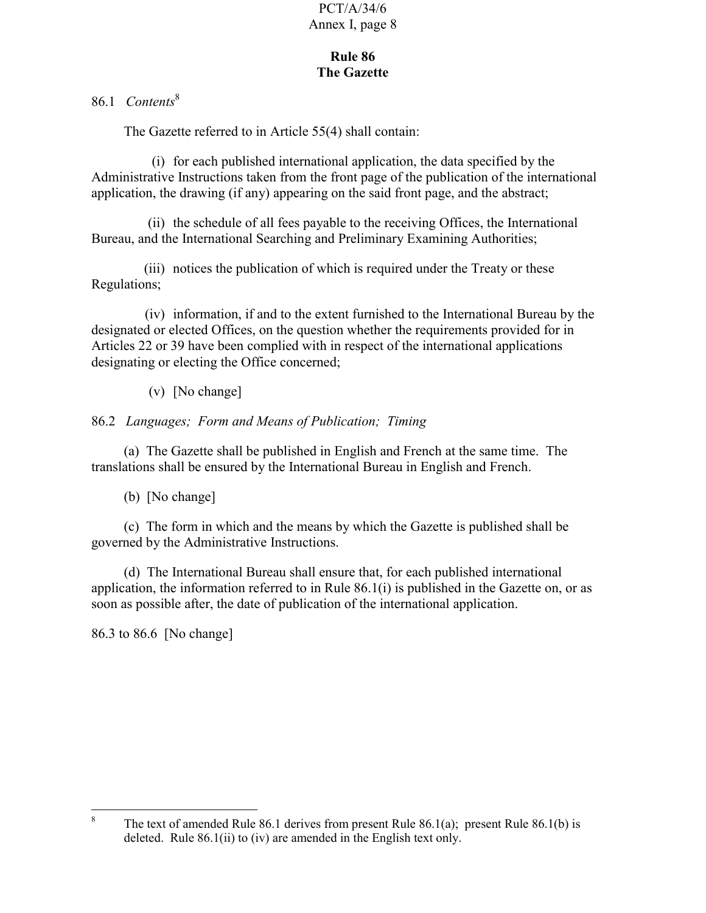## **Rule 86 The Gazette**

# 86.1 *Contents*<sup>8</sup>

The Gazette referred to in Article 55(4) shall contain:

(i) for each published international application, the data specified by the Administrative Instructions taken from the front page of the publication of the international application, the drawing (if any) appearing on the said front page, and the abstract;

(ii) the schedule of all fees payable to the receiving Offices, the International Bureau, and the International Searching and Preliminary Examining Authorities;

(iii) notices the publication of which is required under the Treaty or these Regulations;

(iv) information, if and to the extent furnished to the International Bureau by the designated or elected Offices, on the question whether the requirements provided for in Articles 22 or 39 have been complied with in respect of the international applications designating or electing the Office concerned;

(v) [No change]

# 86.2 *Languages; Form and Means of Publication; Timing*

(a) The Gazette shall be published in English and French at the same time. The translations shall be ensured by the International Bureau in English and French.

(b) [No change]

(c) The form in which and the means by which the Gazette is published shall be governed by the Administrative Instructions.

(d) The International Bureau shall ensure that, for each published international application, the information referred to in Rule  $86.1(i)$  is published in the Gazette on, or as soon as possible after, the date of publication of the international application.

86.3 to 86.6 [No change]

 $\,$  8  $\,$ <sup>8</sup> The text of amended Rule 86.1 derives from present Rule 86.1(a); present Rule 86.1(b) is deleted. Rule 86.1(ii) to (iv) are amended in the English text only.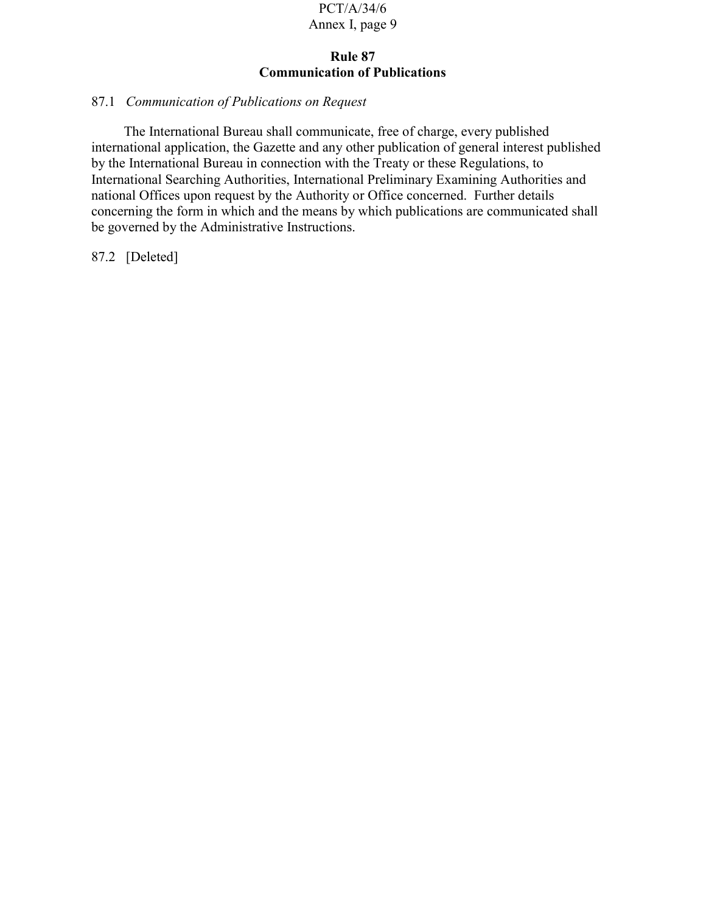## **Rule 87 Communication of Publications**

#### 87.1 *Communication of Publications on Request*

The International Bureau shall communicate, free of charge, every published international application, the Gazette and any other publication of general interest published by the International Bureau in connection with the Treaty or these Regulations, to International Searching Authorities, International Preliminary Examining Authorities and national Offices upon request by the Authority or Office concerned. Further details concerning the form in which and the means by which publications are communicated shall be governed by the Administrative Instructions.

87.2 [Deleted]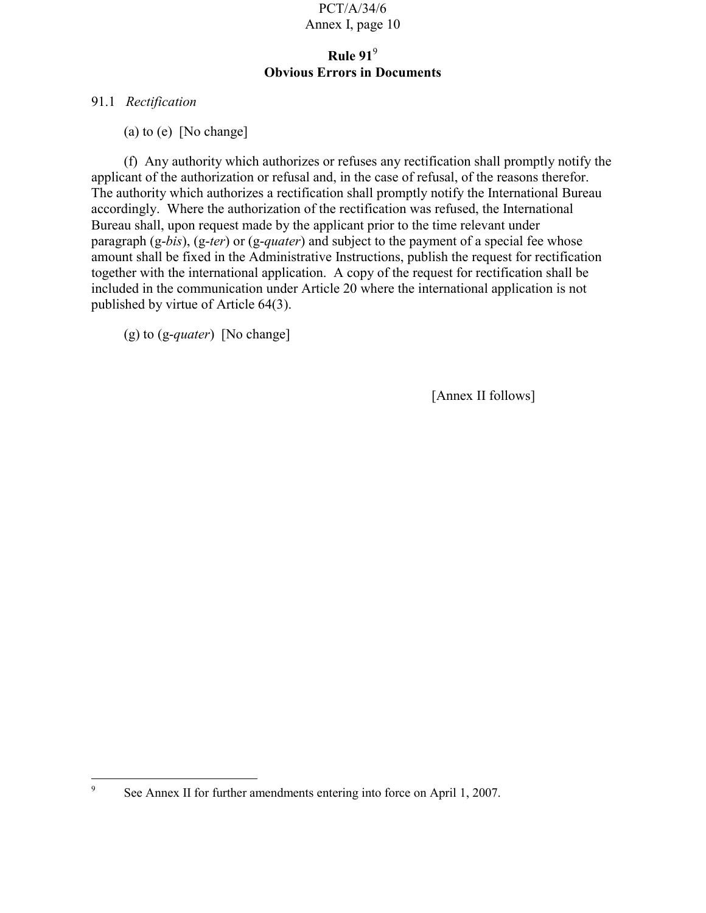# **Rule 91**<sup>9</sup> **Obvious Errors in Documents**

91.1 *Rectification*

(a) to (e) [No change]

(f) Any authority which authorizes or refuses any rectification shall promptly notify the applicant of the authorization or refusal and, in the case of refusal, of the reasons therefor. The authority which authorizes a rectification shall promptly notify the International Bureau accordingly. Where the authorization of the rectification was refused, the International Bureau shall, upon request made by the applicant prior to the time relevant under paragraph (g-*bis*), (g-*ter*) or (g-*quater*) and subject to the payment of a special fee whose amount shall be fixed in the Administrative Instructions, publish the request for rectification together with the international application. A copy of the request for rectification shall be included in the communication under Article 20 where the international application is not published by virtue of Article 64(3).

(g) to (g-*quater*) [No change]

[Annex II follows]

 $\overline{9}$ See Annex II for further amendments entering into force on April 1, 2007.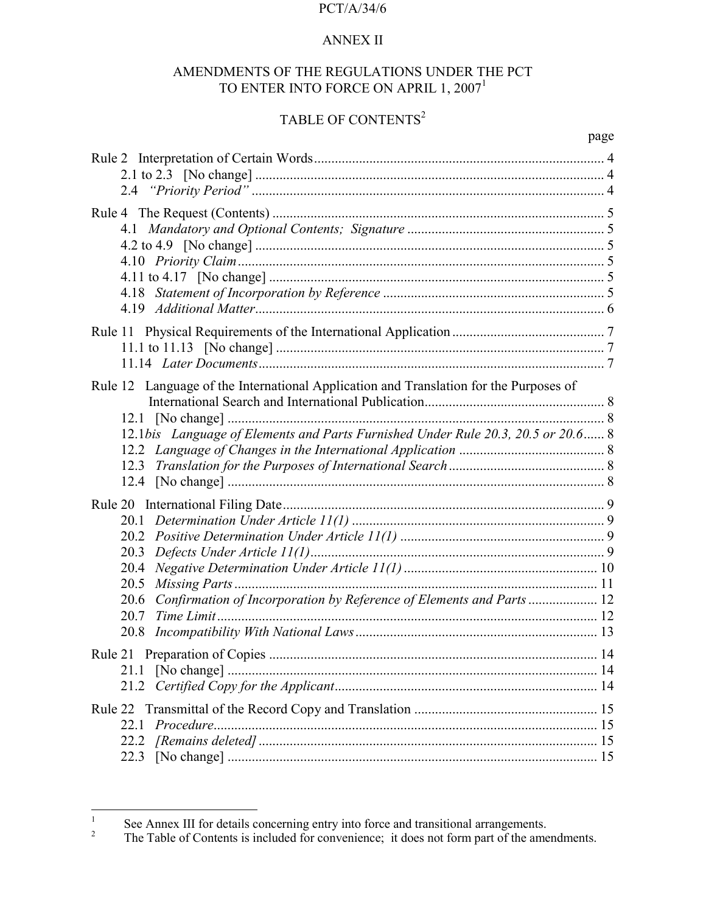# PCT/A/34/6

#### ANNEX II

# AMENDMENTS OF THE REGULATIONS UNDER THE PCT TO ENTER INTO FORCE ON APRIL 1, 2007<sup>1</sup>

# TABLE OF CONTENTS<sup>2</sup>

| Rule 12 Language of the International Application and Translation for the Purposes of<br>12.1bis Language of Elements and Parts Furnished Under Rule 20.3, 20.5 or 20.6 8 |  |
|---------------------------------------------------------------------------------------------------------------------------------------------------------------------------|--|
| 20.3<br>20.5<br>Confirmation of Incorporation by Reference of Elements and Parts 12<br>20.6<br>20.8                                                                       |  |
|                                                                                                                                                                           |  |
|                                                                                                                                                                           |  |

 $1\,$ <sup>1</sup> See Annex III for details concerning entry into force and transitional arrangements.<br><sup>2</sup> The Table of Contents is included for convenience: it does not form part of the ame

<sup>2</sup> The Table of Contents is included for convenience; it does not form part of the amendments.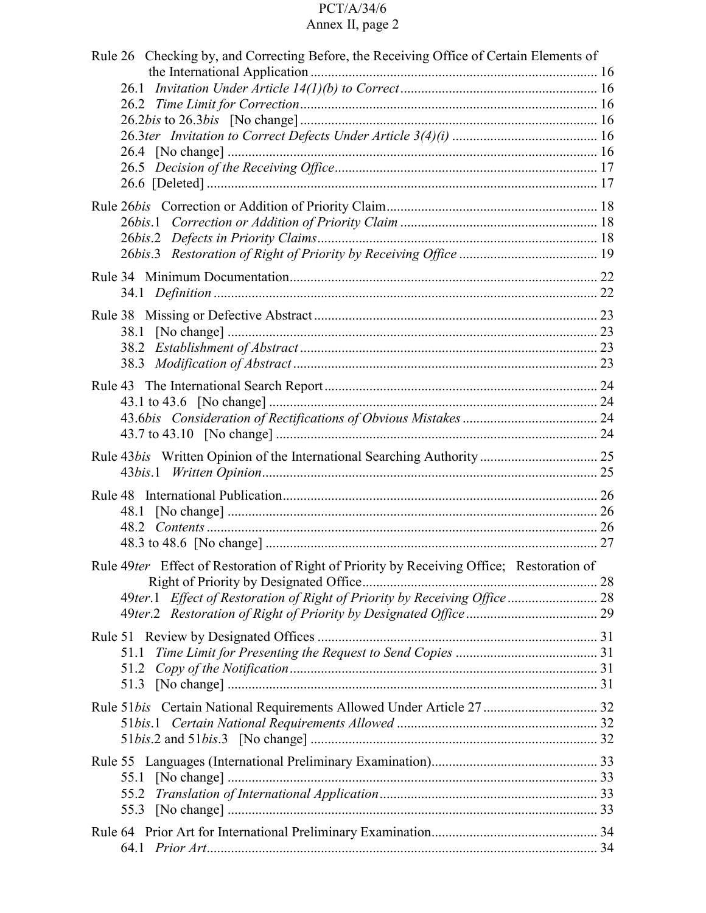| Rule 26 Checking by, and Correcting Before, the Receiving Office of Certain Elements of   |  |
|-------------------------------------------------------------------------------------------|--|
| 26.1                                                                                      |  |
|                                                                                           |  |
|                                                                                           |  |
|                                                                                           |  |
|                                                                                           |  |
|                                                                                           |  |
|                                                                                           |  |
|                                                                                           |  |
|                                                                                           |  |
|                                                                                           |  |
|                                                                                           |  |
|                                                                                           |  |
|                                                                                           |  |
| 38.1                                                                                      |  |
|                                                                                           |  |
|                                                                                           |  |
|                                                                                           |  |
|                                                                                           |  |
|                                                                                           |  |
|                                                                                           |  |
|                                                                                           |  |
|                                                                                           |  |
|                                                                                           |  |
| 48.1                                                                                      |  |
|                                                                                           |  |
| Rule 49ter Effect of Restoration of Right of Priority by Receiving Office; Restoration of |  |
|                                                                                           |  |
| 49ter.1 Effect of Restoration of Right of Priority by Receiving Office  28                |  |
|                                                                                           |  |
|                                                                                           |  |
| 51.1                                                                                      |  |
| 51.2                                                                                      |  |
| 51.3                                                                                      |  |
| Rule 51bis Certain National Requirements Allowed Under Article 27  32                     |  |
|                                                                                           |  |
|                                                                                           |  |
|                                                                                           |  |
| 55.1                                                                                      |  |
| 55.2                                                                                      |  |
| 55.3                                                                                      |  |
|                                                                                           |  |
|                                                                                           |  |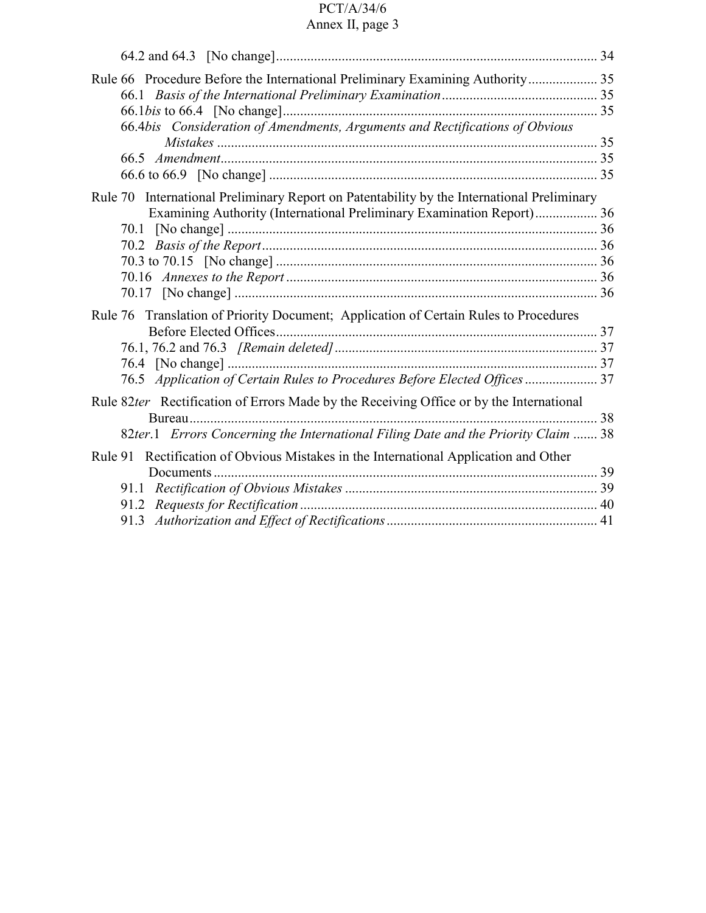| Rule 66 Procedure Before the International Preliminary Examining Authority 35<br>66.4bis Consideration of Amendments, Arguments and Rectifications of Obvious                 |  |
|-------------------------------------------------------------------------------------------------------------------------------------------------------------------------------|--|
|                                                                                                                                                                               |  |
| International Preliminary Report on Patentability by the International Preliminary<br>Rule 70<br>Examining Authority (International Preliminary Examination Report) 36        |  |
| Translation of Priority Document; Application of Certain Rules to Procedures<br>Rule 76<br>76.5 Application of Certain Rules to Procedures Before Elected Offices  37         |  |
| Rule 82ter Rectification of Errors Made by the Receiving Office or by the International<br>82ter.1 Errors Concerning the International Filing Date and the Priority Claim  38 |  |
| Rectification of Obvious Mistakes in the International Application and Other<br>Rule 91                                                                                       |  |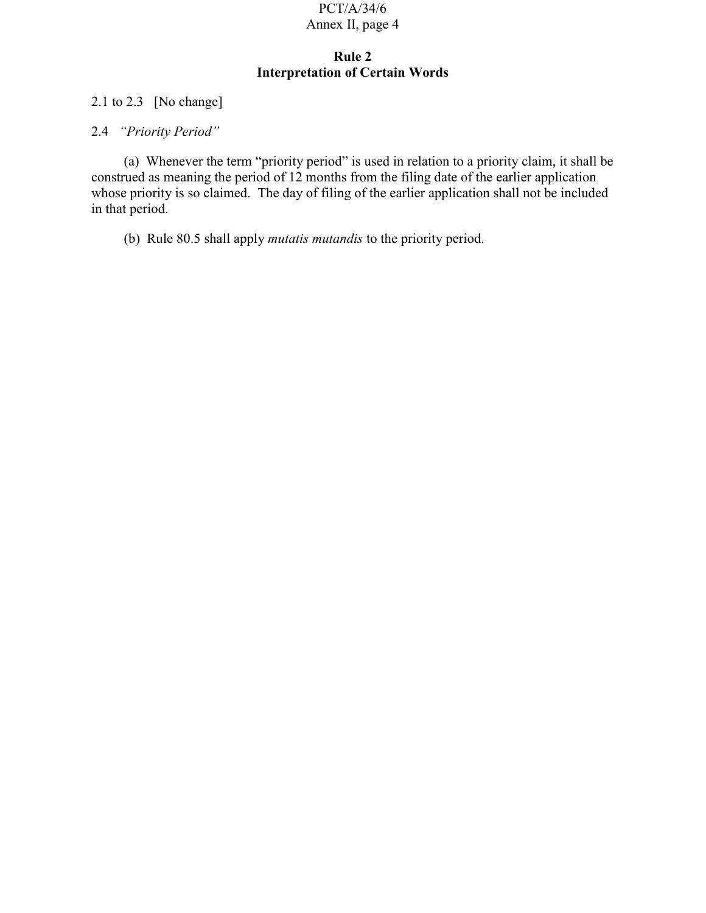# **Rule 2 Interpretation of Certain Words**

2.1 to 2.3 [No change]

# 2.4 *"Priority Period"*

(a) Whenever the term "priority period" is used in relation to a priority claim, it shall be construed as meaning the period of 12 months from the filing date of the earlier application whose priority is so claimed. The day of filing of the earlier application shall not be included in that period.

(b) Rule 80.5 shall apply *mutatis mutandis* to the priority period.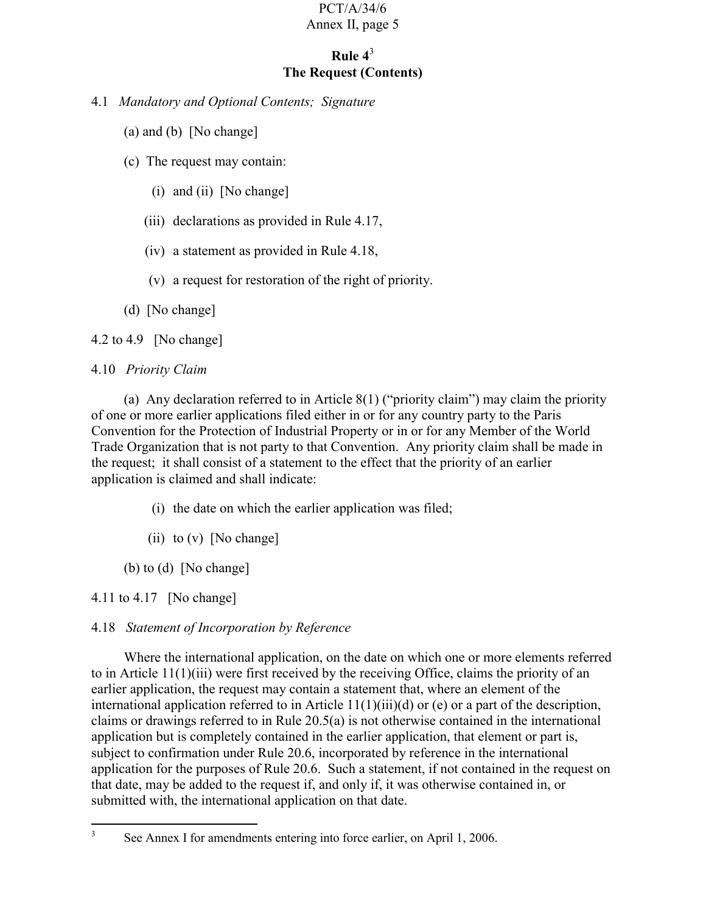# **Rule 4**<sup>3</sup> **The Request (Contents)**

4.1 *Mandatory and Optional Contents; Signature*

(a) and (b) [No change]

- (c) The request may contain:
	- (i) and (ii) [No change]
	- (iii) declarations as provided in Rule 4.17,
	- (iv) a statement as provided in Rule 4.18,
	- (v) a request for restoration of the right of priority.
- (d) [No change]

4.2 to 4.9 [No change]

# 4.10 *Priority Claim*

(a) Any declaration referred to in Article 8(1) ("priority claim") may claim the priority of one or more earlier applications filed either in or for any country party to the Paris Convention for the Protection of Industrial Property or in or for any Member of the World Trade Organization that is not party to that Convention. Any priority claim shall be made in the request; it shall consist of a statement to the effect that the priority of an earlier application is claimed and shall indicate:

- (i) the date on which the earlier application was filed;
- (ii) to (v) [No change]
- (b) to (d) [No change]

# 4.11 to 4.17 [No change]

# 4.18 *Statement of Incorporation by Reference*

Where the international application, on the date on which one or more elements referred to in Article 11(1)(iii) were first received by the receiving Office, claims the priority of an earlier application, the request may contain a statement that, where an element of the international application referred to in Article  $11(1)(iii)(d)$  or (e) or a part of the description, claims or drawings referred to in Rule 20.5(a) is not otherwise contained in the international application but is completely contained in the earlier application, that element or part is, subject to confirmation under Rule 20.6, incorporated by reference in the international application for the purposes of Rule 20.6. Such a statement, if not contained in the request on that date, may be added to the request if, and only if, it was otherwise contained in, or submitted with, the international application on that date.

 $\mathbf{3}$ See Annex I for amendments entering into force earlier, on April 1, 2006.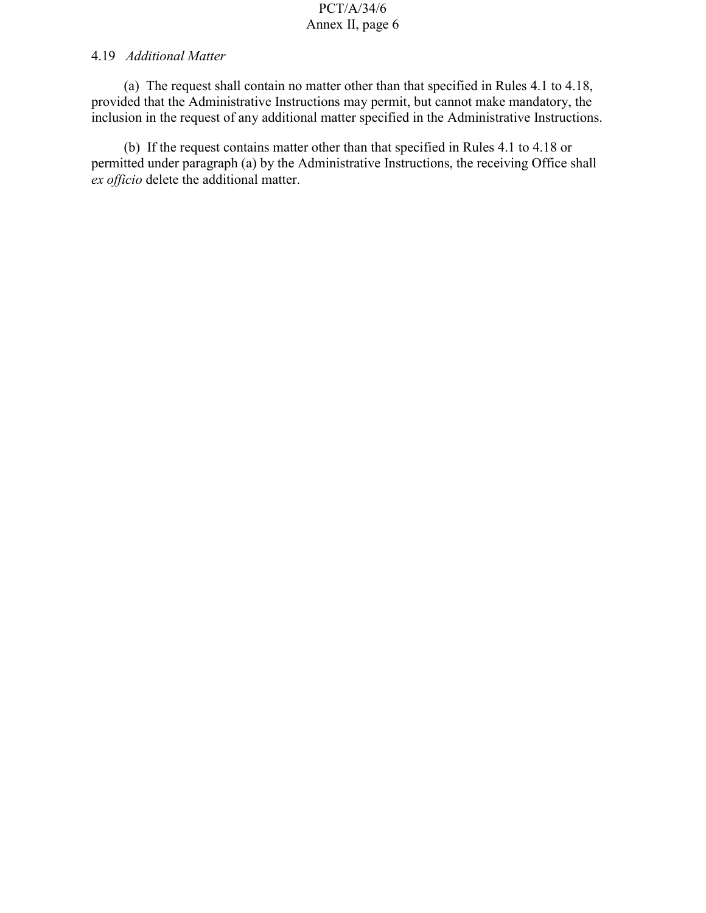## 4.19 *Additional Matter*

(a) The request shall contain no matter other than that specified in Rules 4.1 to 4.18, provided that the Administrative Instructions may permit, but cannot make mandatory, the inclusion in the request of any additional matter specified in the Administrative Instructions.

(b) If the request contains matter other than that specified in Rules 4.1 to 4.18 or permitted under paragraph (a) by the Administrative Instructions, the receiving Office shall *ex officio* delete the additional matter.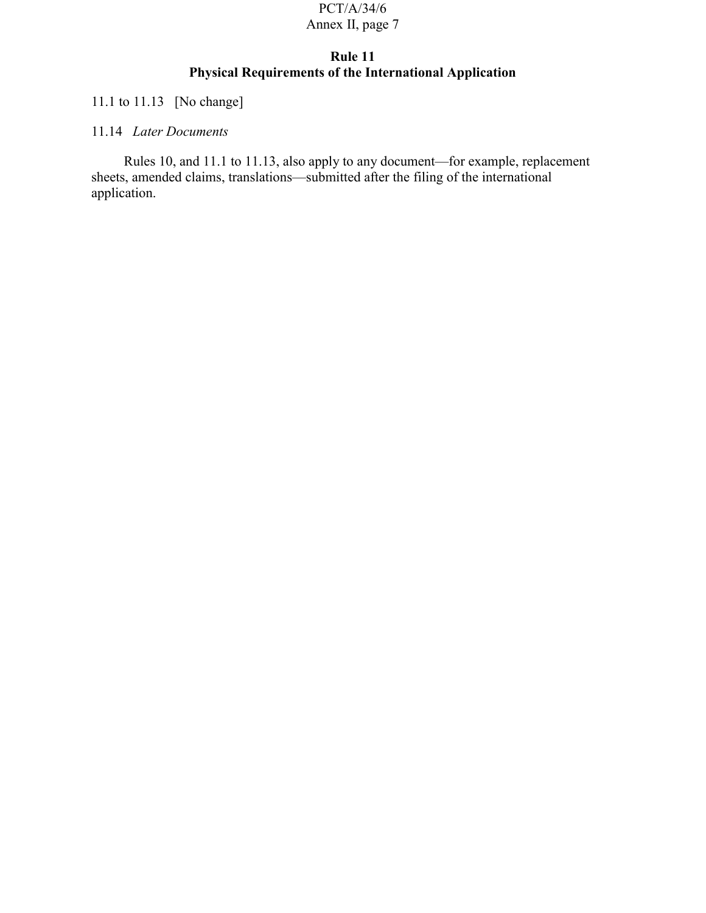# **Rule 11 Physical Requirements of the International Application**

11.1 to 11.13 [No change]

11.14 *Later Documents*

Rules 10, and 11.1 to 11.13, also apply to any document—for example, replacement sheets, amended claims, translations—submitted after the filing of the international application.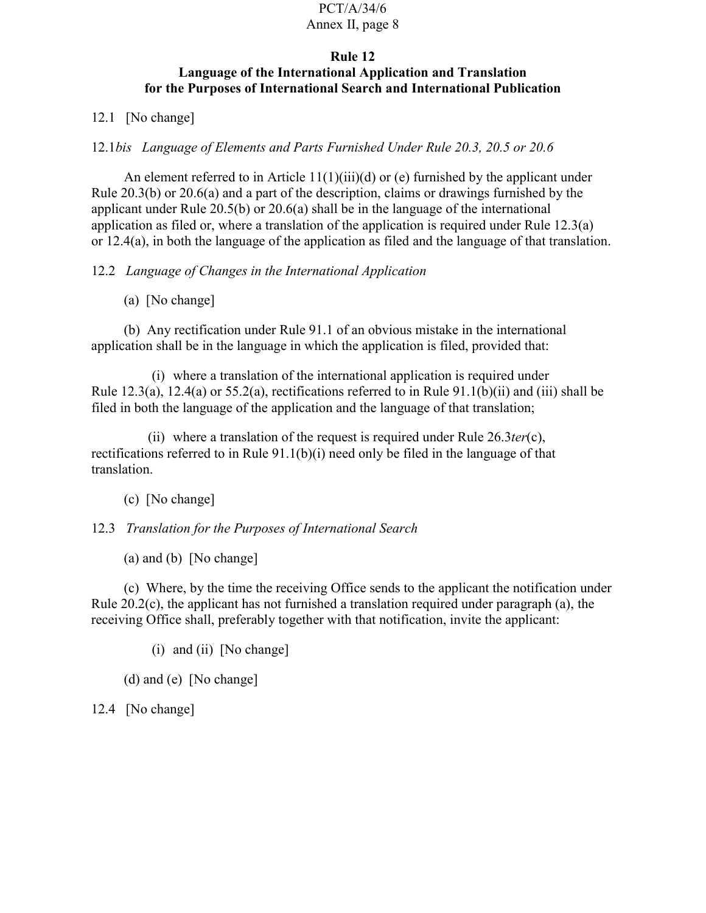#### **Rule 12 Language of the International Application and Translation for the Purposes of International Search and International Publication**

# 12.1 [No change]

12.1*bis Language of Elements and Parts Furnished Under Rule 20.3, 20.5 or 20.6*

An element referred to in Article  $11(1)(iii)(d)$  or (e) furnished by the applicant under Rule 20.3(b) or 20.6(a) and a part of the description, claims or drawings furnished by the applicant under Rule 20.5(b) or 20.6(a) shall be in the language of the international application as filed or, where a translation of the application is required under Rule 12.3(a) or 12.4(a), in both the language of the application as filed and the language of that translation.

12.2 *Language of Changes in the International Application*

(a) [No change]

(b) Any rectification under Rule 91.1 of an obvious mistake in the international application shall be in the language in which the application is filed, provided that:

(i) where a translation of the international application is required under Rule 12.3(a), 12.4(a) or 55.2(a), rectifications referred to in Rule  $91.1(b)(ii)$  and (iii) shall be filed in both the language of the application and the language of that translation;

(ii) where a translation of the request is required under Rule 26.3*ter*(c), rectifications referred to in Rule 91.1(b)(i) need only be filed in the language of that translation.

(c) [No change]

# 12.3 *Translation for the Purposes of International Search*

(a) and (b) [No change]

(c) Where, by the time the receiving Office sends to the applicant the notification under Rule  $20.2(c)$ , the applicant has not furnished a translation required under paragraph (a), the receiving Office shall, preferably together with that notification, invite the applicant:

(i) and (ii) [No change]

(d) and (e) [No change]

12.4 [No change]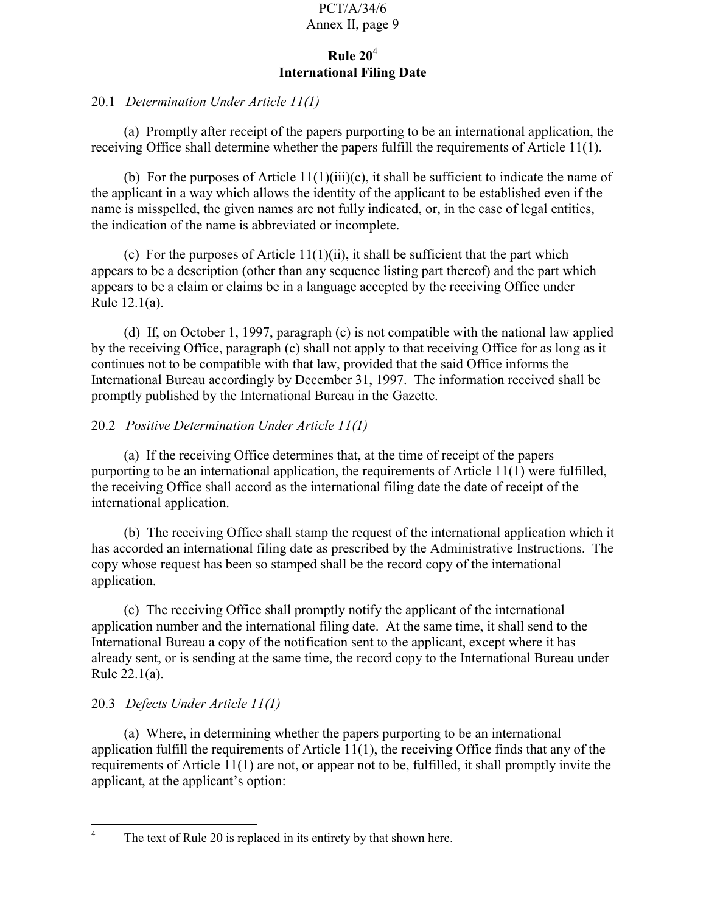# **Rule 20**<sup>4</sup> **International Filing Date**

# 20.1 *Determination Under Article 11(1)*

(a) Promptly after receipt of the papers purporting to be an international application, the receiving Office shall determine whether the papers fulfill the requirements of Article 11(1).

(b) For the purposes of Article  $11(1)(iii)(c)$ , it shall be sufficient to indicate the name of the applicant in a way which allows the identity of the applicant to be established even if the name is misspelled, the given names are not fully indicated, or, in the case of legal entities, the indication of the name is abbreviated or incomplete.

(c) For the purposes of Article  $11(1)(ii)$ , it shall be sufficient that the part which appears to be a description (other than any sequence listing part thereof) and the part which appears to be a claim or claims be in a language accepted by the receiving Office under Rule 12.1(a).

(d) If, on October 1, 1997, paragraph (c) is not compatible with the national law applied by the receiving Office, paragraph (c) shall not apply to that receiving Office for as long as it continues not to be compatible with that law, provided that the said Office informs the International Bureau accordingly by December 31, 1997. The information received shall be promptly published by the International Bureau in the Gazette.

# 20.2 *Positive Determination Under Article 11(1)*

(a) If the receiving Office determines that, at the time of receipt of the papers purporting to be an international application, the requirements of Article 11(1) were fulfilled, the receiving Office shall accord as the international filing date the date of receipt of the international application.

(b) The receiving Office shall stamp the request of the international application which it has accorded an international filing date as prescribed by the Administrative Instructions. The copy whose request has been so stamped shall be the record copy of the international application.

(c) The receiving Office shall promptly notify the applicant of the international application number and the international filing date. At the same time, it shall send to the International Bureau a copy of the notification sent to the applicant, except where it has already sent, or is sending at the same time, the record copy to the International Bureau under Rule 22.1(a).

# 20.3 *Defects Under Article 11(1)*

(a) Where, in determining whether the papers purporting to be an international application fulfill the requirements of Article 11(1), the receiving Office finds that any of the requirements of Article 11(1) are not, or appear not to be, fulfilled, it shall promptly invite the applicant, at the applicant's option:

 $\overline{4}$ The text of Rule 20 is replaced in its entirety by that shown here.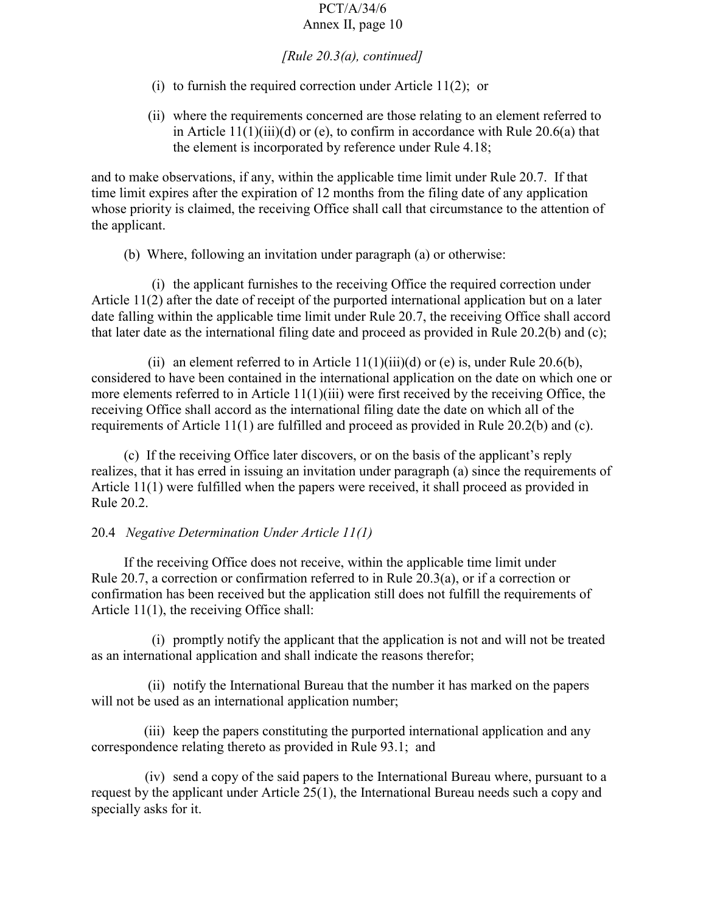#### *[Rule 20.3(a), continued]*

- (i) to furnish the required correction under Article  $11(2)$ ; or
- (ii) where the requirements concerned are those relating to an element referred to in Article  $11(1)(iii)(d)$  or (e), to confirm in accordance with Rule 20.6(a) that the element is incorporated by reference under Rule 4.18;

and to make observations, if any, within the applicable time limit under Rule 20.7. If that time limit expires after the expiration of 12 months from the filing date of any application whose priority is claimed, the receiving Office shall call that circumstance to the attention of the applicant.

(b) Where, following an invitation under paragraph (a) or otherwise:

(i) the applicant furnishes to the receiving Office the required correction under Article 11(2) after the date of receipt of the purported international application but on a later date falling within the applicable time limit under Rule 20.7, the receiving Office shall accord that later date as the international filing date and proceed as provided in Rule 20.2(b) and (c);

(ii) an element referred to in Article  $11(1)(iii)(d)$  or (e) is, under Rule 20.6(b), considered to have been contained in the international application on the date on which one or more elements referred to in Article 11(1)(iii) were first received by the receiving Office, the receiving Office shall accord as the international filing date the date on which all of the requirements of Article 11(1) are fulfilled and proceed as provided in Rule 20.2(b) and (c).

(c) If the receiving Office later discovers, or on the basis of the applicant's reply realizes, that it has erred in issuing an invitation under paragraph (a) since the requirements of Article 11(1) were fulfilled when the papers were received, it shall proceed as provided in Rule 20.2.

#### 20.4 *Negative Determination Under Article 11(1)*

If the receiving Office does not receive, within the applicable time limit under Rule 20.7, a correction or confirmation referred to in Rule 20.3(a), or if a correction or confirmation has been received but the application still does not fulfill the requirements of Article 11(1), the receiving Office shall:

(i) promptly notify the applicant that the application is not and will not be treated as an international application and shall indicate the reasons therefor;

(ii) notify the International Bureau that the number it has marked on the papers will not be used as an international application number;

(iii) keep the papers constituting the purported international application and any correspondence relating thereto as provided in Rule 93.1; and

(iv) send a copy of the said papers to the International Bureau where, pursuant to a request by the applicant under Article 25(1), the International Bureau needs such a copy and specially asks for it.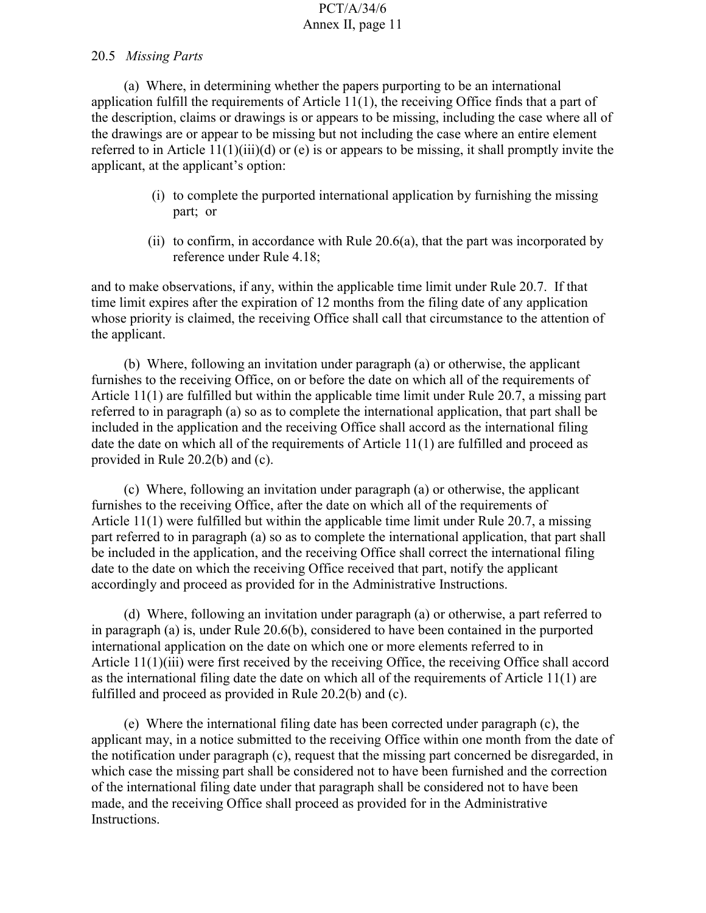#### 20.5 *Missing Parts*

(a) Where, in determining whether the papers purporting to be an international application fulfill the requirements of Article 11(1), the receiving Office finds that a part of the description, claims or drawings is or appears to be missing, including the case where all of the drawings are or appear to be missing but not including the case where an entire element referred to in Article  $11(1)(iii)(d)$  or (e) is or appears to be missing, it shall promptly invite the applicant, at the applicant's option:

- (i) to complete the purported international application by furnishing the missing part; or
- (ii) to confirm, in accordance with Rule  $20.6(a)$ , that the part was incorporated by reference under Rule 4.18;

and to make observations, if any, within the applicable time limit under Rule 20.7. If that time limit expires after the expiration of 12 months from the filing date of any application whose priority is claimed, the receiving Office shall call that circumstance to the attention of the applicant.

(b) Where, following an invitation under paragraph (a) or otherwise, the applicant furnishes to the receiving Office, on or before the date on which all of the requirements of Article 11(1) are fulfilled but within the applicable time limit under Rule 20.7, a missing part referred to in paragraph (a) so as to complete the international application, that part shall be included in the application and the receiving Office shall accord as the international filing date the date on which all of the requirements of Article 11(1) are fulfilled and proceed as provided in Rule 20.2(b) and (c).

(c) Where, following an invitation under paragraph (a) or otherwise, the applicant furnishes to the receiving Office, after the date on which all of the requirements of Article 11(1) were fulfilled but within the applicable time limit under Rule 20.7, a missing part referred to in paragraph (a) so as to complete the international application, that part shall be included in the application, and the receiving Office shall correct the international filing date to the date on which the receiving Office received that part, notify the applicant accordingly and proceed as provided for in the Administrative Instructions.

(d) Where, following an invitation under paragraph (a) or otherwise, a part referred to in paragraph (a) is, under Rule 20.6(b), considered to have been contained in the purported international application on the date on which one or more elements referred to in Article 11(1)(iii) were first received by the receiving Office, the receiving Office shall accord as the international filing date the date on which all of the requirements of Article 11(1) are fulfilled and proceed as provided in Rule 20.2(b) and (c).

(e) Where the international filing date has been corrected under paragraph (c), the applicant may, in a notice submitted to the receiving Office within one month from the date of the notification under paragraph (c), request that the missing part concerned be disregarded, in which case the missing part shall be considered not to have been furnished and the correction of the international filing date under that paragraph shall be considered not to have been made, and the receiving Office shall proceed as provided for in the Administrative Instructions.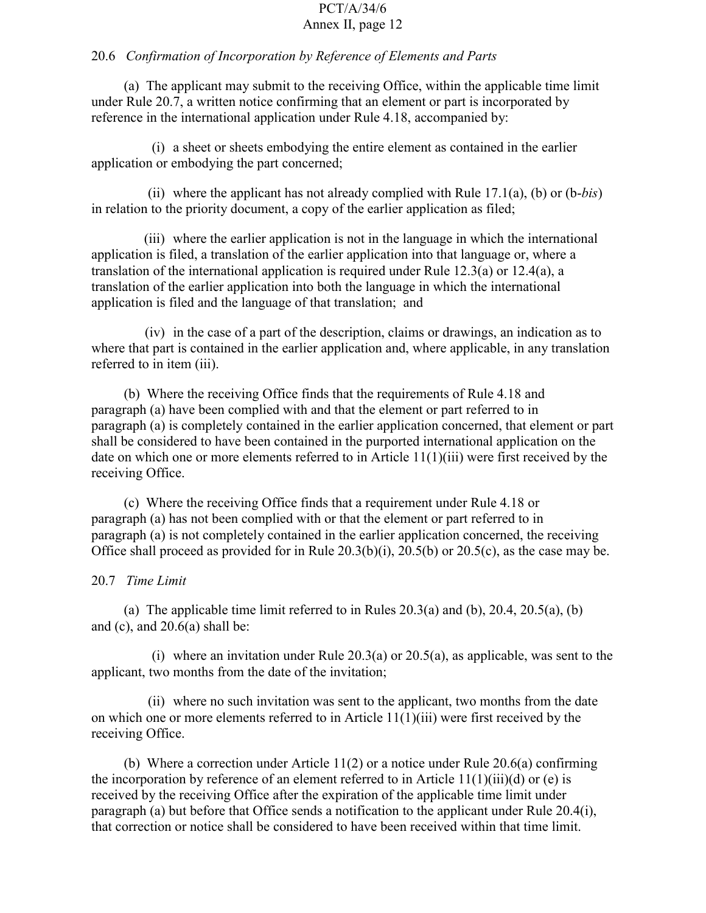#### 20.6 *Confirmation of Incorporation by Reference of Elements and Parts*

(a) The applicant may submit to the receiving Office, within the applicable time limit under Rule 20.7, a written notice confirming that an element or part is incorporated by reference in the international application under Rule 4.18, accompanied by:

(i) a sheet or sheets embodying the entire element as contained in the earlier application or embodying the part concerned;

(ii) where the applicant has not already complied with Rule 17.1(a), (b) or (b-*bis*) in relation to the priority document, a copy of the earlier application as filed;

(iii) where the earlier application is not in the language in which the international application is filed, a translation of the earlier application into that language or, where a translation of the international application is required under Rule 12.3(a) or 12.4(a), a translation of the earlier application into both the language in which the international application is filed and the language of that translation; and

(iv) in the case of a part of the description, claims or drawings, an indication as to where that part is contained in the earlier application and, where applicable, in any translation referred to in item (iii).

(b) Where the receiving Office finds that the requirements of Rule 4.18 and paragraph (a) have been complied with and that the element or part referred to in paragraph (a) is completely contained in the earlier application concerned, that element or part shall be considered to have been contained in the purported international application on the date on which one or more elements referred to in Article 11(1)(iii) were first received by the receiving Office.

(c) Where the receiving Office finds that a requirement under Rule 4.18 or paragraph (a) has not been complied with or that the element or part referred to in paragraph (a) is not completely contained in the earlier application concerned, the receiving Office shall proceed as provided for in Rule 20.3(b)(i), 20.5(b) or 20.5(c), as the case may be.

#### 20.7 *Time Limit*

(a) The applicable time limit referred to in Rules  $20.3(a)$  and (b),  $20.4$ ,  $20.5(a)$ , (b) and (c), and  $20.6(a)$  shall be:

(i) where an invitation under Rule 20.3(a) or 20.5(a), as applicable, was sent to the applicant, two months from the date of the invitation;

(ii) where no such invitation was sent to the applicant, two months from the date on which one or more elements referred to in Article 11(1)(iii) were first received by the receiving Office.

(b) Where a correction under Article 11(2) or a notice under Rule 20.6(a) confirming the incorporation by reference of an element referred to in Article  $11(1)(iii)(d)$  or (e) is received by the receiving Office after the expiration of the applicable time limit under paragraph (a) but before that Office sends a notification to the applicant under Rule 20.4(i), that correction or notice shall be considered to have been received within that time limit.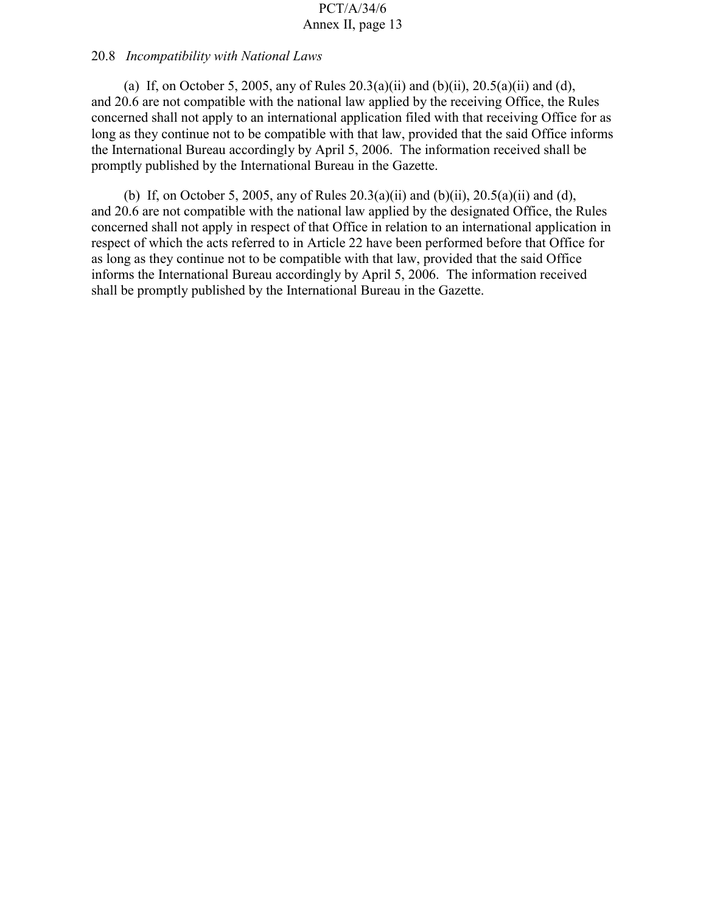#### 20.8 *Incompatibility with National Laws*

(a) If, on October 5, 2005, any of Rules  $20.3(a)(ii)$  and  $(b)(ii)$ ,  $20.5(a)(ii)$  and (d), and 20.6 are not compatible with the national law applied by the receiving Office, the Rules concerned shall not apply to an international application filed with that receiving Office for as long as they continue not to be compatible with that law, provided that the said Office informs the International Bureau accordingly by April 5, 2006. The information received shall be promptly published by the International Bureau in the Gazette.

(b) If, on October 5, 2005, any of Rules  $20.3(a)(ii)$  and  $(b)(ii)$ ,  $20.5(a)(ii)$  and  $(d)$ , and 20.6 are not compatible with the national law applied by the designated Office, the Rules concerned shall not apply in respect of that Office in relation to an international application in respect of which the acts referred to in Article 22 have been performed before that Office for as long as they continue not to be compatible with that law, provided that the said Office informs the International Bureau accordingly by April 5, 2006. The information received shall be promptly published by the International Bureau in the Gazette.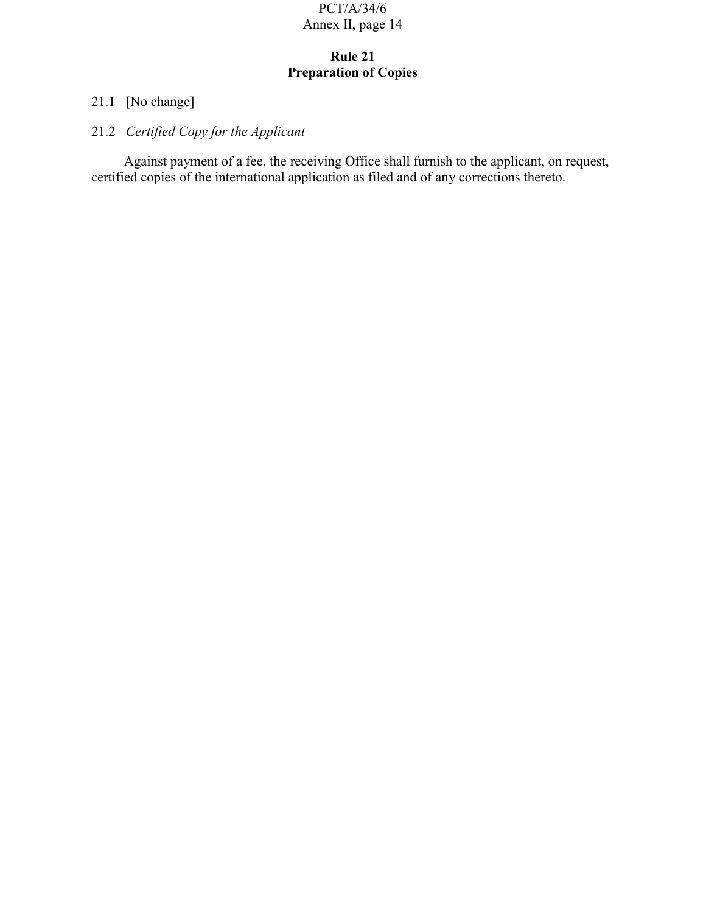# **Rule 21 Preparation of Copies**

# 21.1 [No change]

# 21.2 *Certified Copy for the Applicant*

Against payment of a fee, the receiving Office shall furnish to the applicant, on request, certified copies of the international application as filed and of any corrections thereto.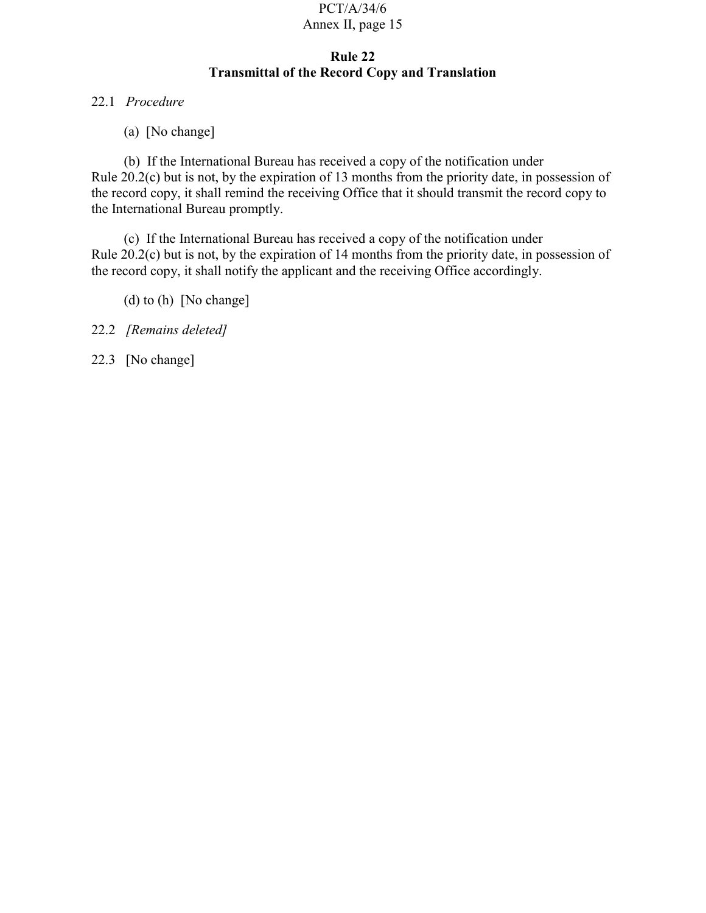# **Rule 22 Transmittal of the Record Copy and Translation**

22.1 *Procedure*

(a) [No change]

(b) If the International Bureau has received a copy of the notification under Rule 20.2(c) but is not, by the expiration of 13 months from the priority date, in possession of the record copy, it shall remind the receiving Office that it should transmit the record copy to the International Bureau promptly.

(c) If the International Bureau has received a copy of the notification under Rule 20.2(c) but is not, by the expiration of 14 months from the priority date, in possession of the record copy, it shall notify the applicant and the receiving Office accordingly.

(d) to (h) [No change]

22.2 *[Remains deleted]*

22.3 [No change]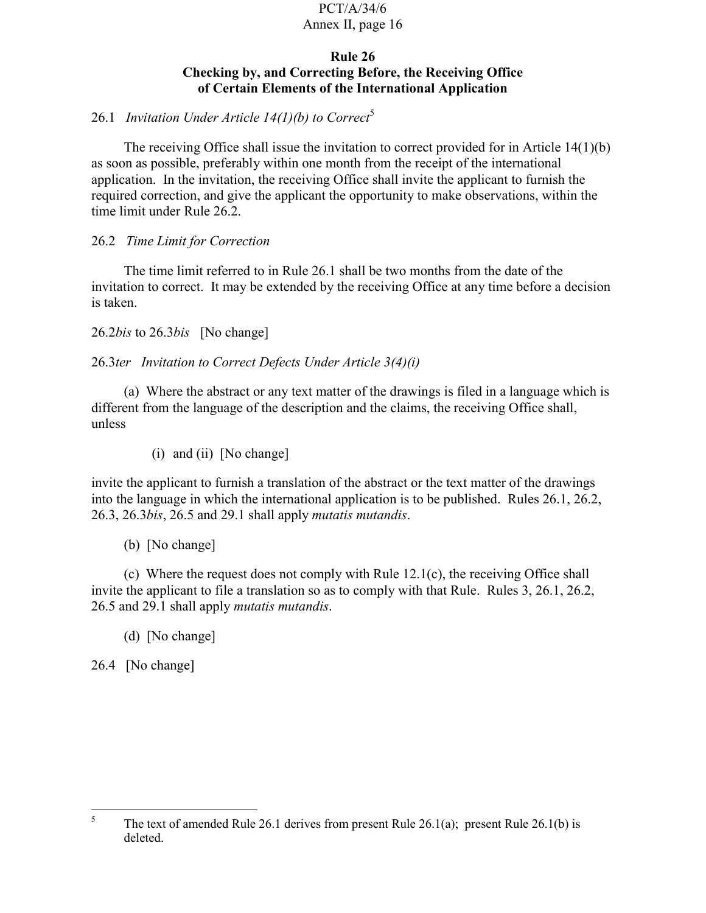#### **Rule 26 Checking by, and Correcting Before, the Receiving Office of Certain Elements of the International Application**

# 26.1 *Invitation Under Article 14(1)(b) to Correct*<sup>5</sup>

The receiving Office shall issue the invitation to correct provided for in Article 14(1)(b) as soon as possible, preferably within one month from the receipt of the international application. In the invitation, the receiving Office shall invite the applicant to furnish the required correction, and give the applicant the opportunity to make observations, within the time limit under Rule 26.2.

# 26.2 *Time Limit for Correction*

The time limit referred to in Rule 26.1 shall be two months from the date of the invitation to correct. It may be extended by the receiving Office at any time before a decision is taken.

26.2*bis* to 26.3*bis* [No change]

# 26.3*ter Invitation to Correct Defects Under Article 3(4)(i)*

(a) Where the abstract or any text matter of the drawings is filed in a language which is different from the language of the description and the claims, the receiving Office shall, unless

(i) and (ii) [No change]

invite the applicant to furnish a translation of the abstract or the text matter of the drawings into the language in which the international application is to be published. Rules 26.1, 26.2, 26.3, 26.3*bis*, 26.5 and 29.1 shall apply *mutatis mutandis*.

(b) [No change]

(c) Where the request does not comply with Rule 12.1(c), the receiving Office shall invite the applicant to file a translation so as to comply with that Rule. Rules 3, 26.1, 26.2, 26.5 and 29.1 shall apply *mutatis mutandis*.

(d) [No change]

26.4 [No change]

 $\sqrt{5}$ The text of amended Rule 26.1 derives from present Rule 26.1(a); present Rule 26.1(b) is deleted.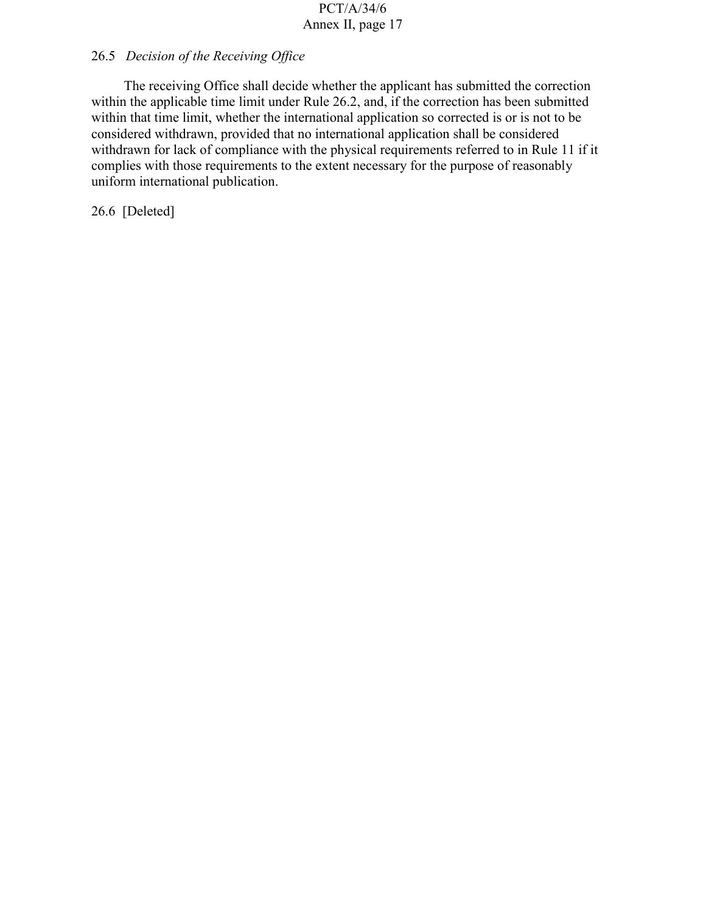## 26.5 *Decision of the Receiving Office*

The receiving Office shall decide whether the applicant has submitted the correction within the applicable time limit under Rule 26.2, and, if the correction has been submitted within that time limit, whether the international application so corrected is or is not to be considered withdrawn, provided that no international application shall be considered withdrawn for lack of compliance with the physical requirements referred to in Rule 11 if it complies with those requirements to the extent necessary for the purpose of reasonably uniform international publication.

26.6 [Deleted]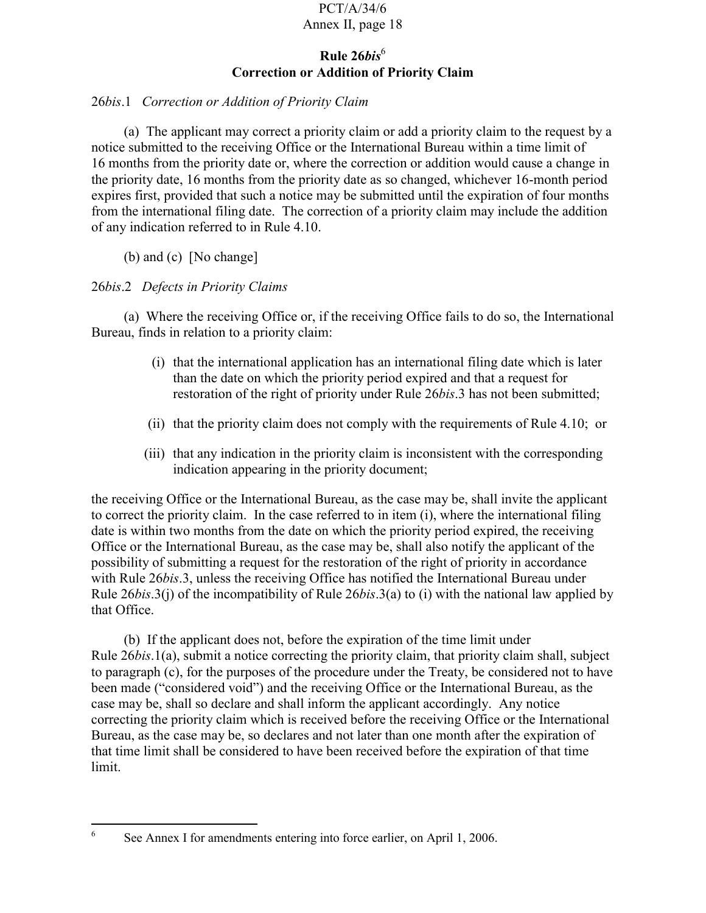# **Rule 26***bis*<sup>6</sup> **Correction or Addition of Priority Claim**

# 26*bis*.1 *Correction or Addition of Priority Claim*

(a) The applicant may correct a priority claim or add a priority claim to the request by a notice submitted to the receiving Office or the International Bureau within a time limit of 16 months from the priority date or, where the correction or addition would cause a change in the priority date, 16 months from the priority date as so changed, whichever 16-month period expires first, provided that such a notice may be submitted until the expiration of four months from the international filing date. The correction of a priority claim may include the addition of any indication referred to in Rule 4.10.

(b) and (c) [No change]

# 26*bis*.2 *Defects in Priority Claims*

(a) Where the receiving Office or, if the receiving Office fails to do so, the International Bureau, finds in relation to a priority claim:

- (i) that the international application has an international filing date which is later than the date on which the priority period expired and that a request for restoration of the right of priority under Rule 26*bis*.3 has not been submitted;
- (ii) that the priority claim does not comply with the requirements of Rule 4.10; or
- (iii) that any indication in the priority claim is inconsistent with the corresponding indication appearing in the priority document;

the receiving Office or the International Bureau, as the case may be, shall invite the applicant to correct the priority claim. In the case referred to in item (i), where the international filing date is within two months from the date on which the priority period expired, the receiving Office or the International Bureau, as the case may be, shall also notify the applicant of the possibility of submitting a request for the restoration of the right of priority in accordance with Rule 26*bis*.3, unless the receiving Office has notified the International Bureau under Rule 26*bis*.3(j) of the incompatibility of Rule 26*bis*.3(a) to (i) with the national law applied by that Office.

(b) If the applicant does not, before the expiration of the time limit under Rule 26*bis*.1(a), submit a notice correcting the priority claim, that priority claim shall, subject to paragraph (c), for the purposes of the procedure under the Treaty, be considered not to have been made ("considered void") and the receiving Office or the International Bureau, as the case may be, shall so declare and shall inform the applicant accordingly. Any notice correcting the priority claim which is received before the receiving Office or the International Bureau, as the case may be, so declares and not later than one month after the expiration of that time limit shall be considered to have been received before the expiration of that time limit.

 $\overline{a}$ <sup>6</sup> See Annex I for amendments entering into force earlier, on April 1, 2006.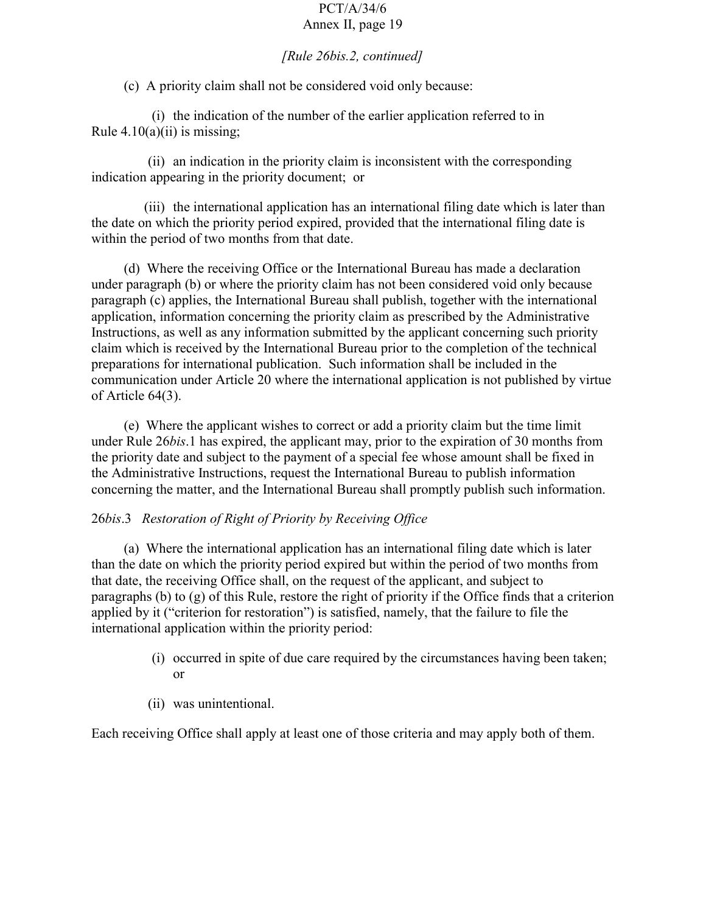## *[Rule 26bis.2, continued]*

(c) A priority claim shall not be considered void only because:

(i) the indication of the number of the earlier application referred to in Rule  $4.10(a)(ii)$  is missing;

(ii) an indication in the priority claim is inconsistent with the corresponding indication appearing in the priority document; or

(iii) the international application has an international filing date which is later than the date on which the priority period expired, provided that the international filing date is within the period of two months from that date.

(d) Where the receiving Office or the International Bureau has made a declaration under paragraph (b) or where the priority claim has not been considered void only because paragraph (c) applies, the International Bureau shall publish, together with the international application, information concerning the priority claim as prescribed by the Administrative Instructions, as well as any information submitted by the applicant concerning such priority claim which is received by the International Bureau prior to the completion of the technical preparations for international publication. Such information shall be included in the communication under Article 20 where the international application is not published by virtue of Article 64(3).

(e) Where the applicant wishes to correct or add a priority claim but the time limit under Rule 26*bis*.1 has expired, the applicant may, prior to the expiration of 30 months from the priority date and subject to the payment of a special fee whose amount shall be fixed in the Administrative Instructions, request the International Bureau to publish information concerning the matter, and the International Bureau shall promptly publish such information.

#### 26*bis*.3 *Restoration of Right of Priority by Receiving Office*

(a) Where the international application has an international filing date which is later than the date on which the priority period expired but within the period of two months from that date, the receiving Office shall, on the request of the applicant, and subject to paragraphs (b) to (g) of this Rule, restore the right of priority if the Office finds that a criterion applied by it ("criterion for restoration") is satisfied, namely, that the failure to file the international application within the priority period:

- (i) occurred in spite of due care required by the circumstances having been taken; or
- (ii) was unintentional.

Each receiving Office shall apply at least one of those criteria and may apply both of them.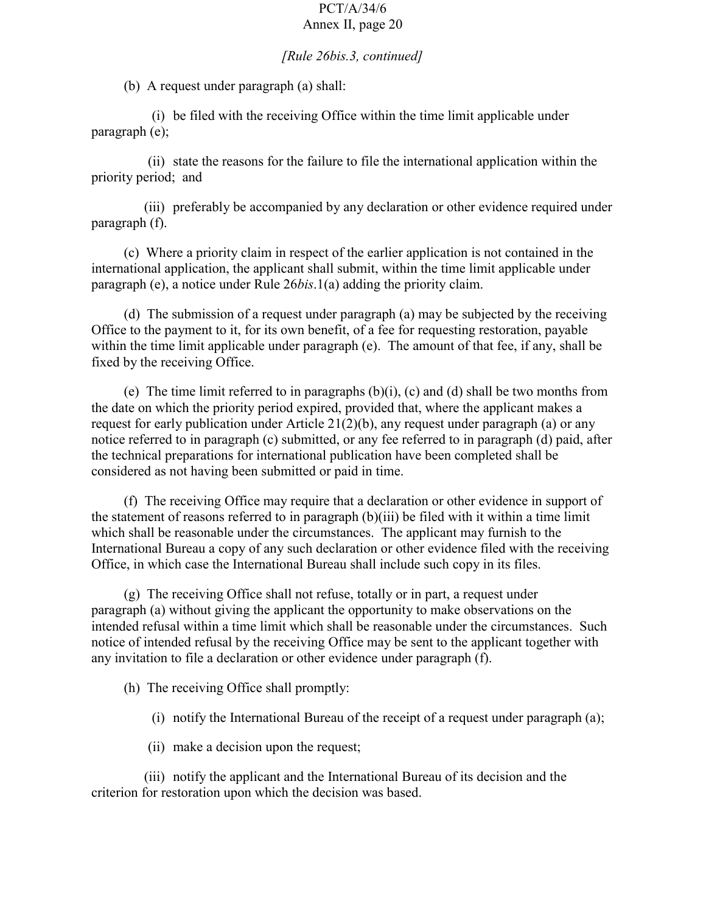## *[Rule 26bis.3, continued]*

(b) A request under paragraph (a) shall:

(i) be filed with the receiving Office within the time limit applicable under paragraph (e);

(ii) state the reasons for the failure to file the international application within the priority period; and

(iii) preferably be accompanied by any declaration or other evidence required under paragraph (f).

(c) Where a priority claim in respect of the earlier application is not contained in the international application, the applicant shall submit, within the time limit applicable under paragraph (e), a notice under Rule 26*bis*.1(a) adding the priority claim.

(d) The submission of a request under paragraph (a) may be subjected by the receiving Office to the payment to it, for its own benefit, of a fee for requesting restoration, payable within the time limit applicable under paragraph (e). The amount of that fee, if any, shall be fixed by the receiving Office.

(e) The time limit referred to in paragraphs  $(b)(i)$ ,  $(c)$  and  $(d)$  shall be two months from the date on which the priority period expired, provided that, where the applicant makes a request for early publication under Article 21(2)(b), any request under paragraph (a) or any notice referred to in paragraph (c) submitted, or any fee referred to in paragraph (d) paid, after the technical preparations for international publication have been completed shall be considered as not having been submitted or paid in time.

(f) The receiving Office may require that a declaration or other evidence in support of the statement of reasons referred to in paragraph (b)(iii) be filed with it within a time limit which shall be reasonable under the circumstances. The applicant may furnish to the International Bureau a copy of any such declaration or other evidence filed with the receiving Office, in which case the International Bureau shall include such copy in its files.

(g) The receiving Office shall not refuse, totally or in part, a request under paragraph (a) without giving the applicant the opportunity to make observations on the intended refusal within a time limit which shall be reasonable under the circumstances. Such notice of intended refusal by the receiving Office may be sent to the applicant together with any invitation to file a declaration or other evidence under paragraph (f).

(h) The receiving Office shall promptly:

- (i) notify the International Bureau of the receipt of a request under paragraph (a);
- (ii) make a decision upon the request;

(iii) notify the applicant and the International Bureau of its decision and the criterion for restoration upon which the decision was based.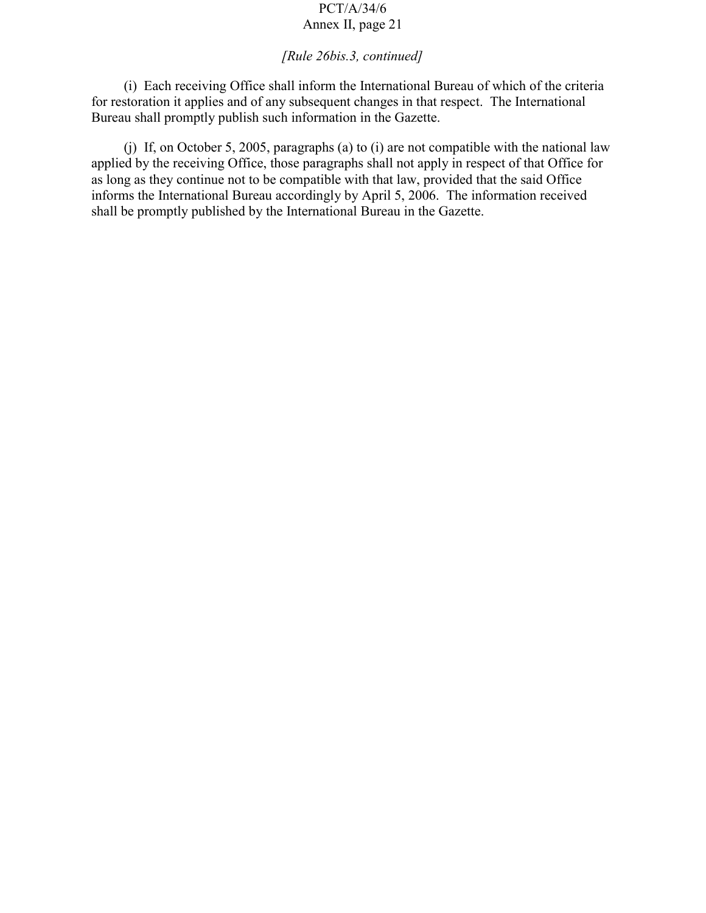#### *[Rule 26bis.3, continued]*

(i) Each receiving Office shall inform the International Bureau of which of the criteria for restoration it applies and of any subsequent changes in that respect. The International Bureau shall promptly publish such information in the Gazette.

(j) If, on October 5, 2005, paragraphs (a) to (i) are not compatible with the national law applied by the receiving Office, those paragraphs shall not apply in respect of that Office for as long as they continue not to be compatible with that law, provided that the said Office informs the International Bureau accordingly by April 5, 2006. The information received shall be promptly published by the International Bureau in the Gazette.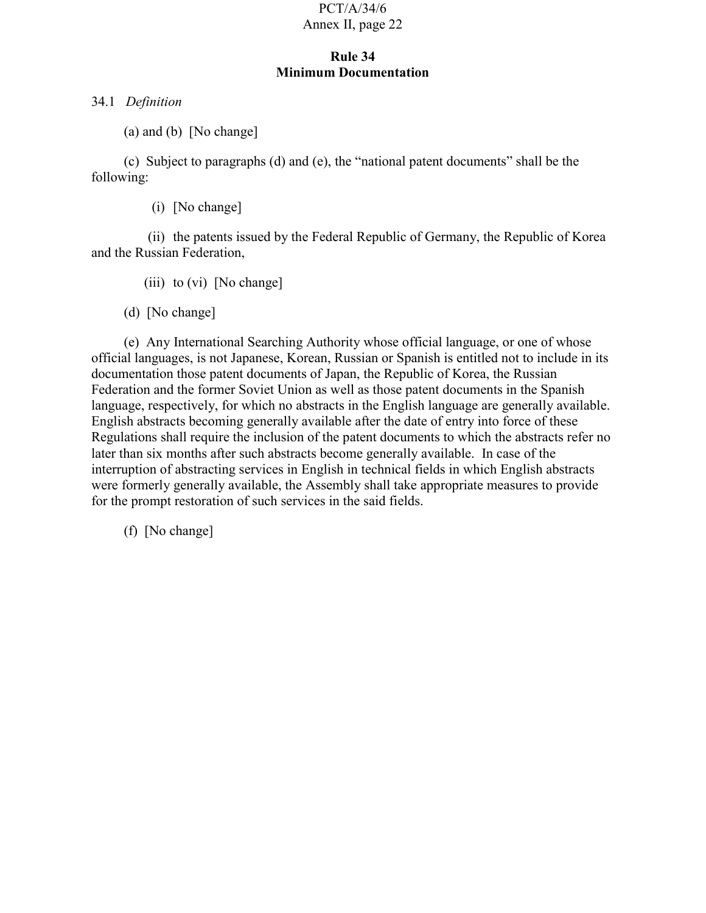#### **Rule 34 Minimum Documentation**

34.1 *Definition*

(a) and (b) [No change]

(c) Subject to paragraphs (d) and (e), the "national patent documents" shall be the following:

(i) [No change]

(ii) the patents issued by the Federal Republic of Germany, the Republic of Korea and the Russian Federation,

(iii) to  $(vi)$  [No change]

(d) [No change]

(e) Any International Searching Authority whose official language, or one of whose official languages, is not Japanese, Korean, Russian or Spanish is entitled not to include in its documentation those patent documents of Japan, the Republic of Korea, the Russian Federation and the former Soviet Union as well as those patent documents in the Spanish language, respectively, for which no abstracts in the English language are generally available. English abstracts becoming generally available after the date of entry into force of these Regulations shall require the inclusion of the patent documents to which the abstracts refer no later than six months after such abstracts become generally available. In case of the interruption of abstracting services in English in technical fields in which English abstracts were formerly generally available, the Assembly shall take appropriate measures to provide for the prompt restoration of such services in the said fields.

(f) [No change]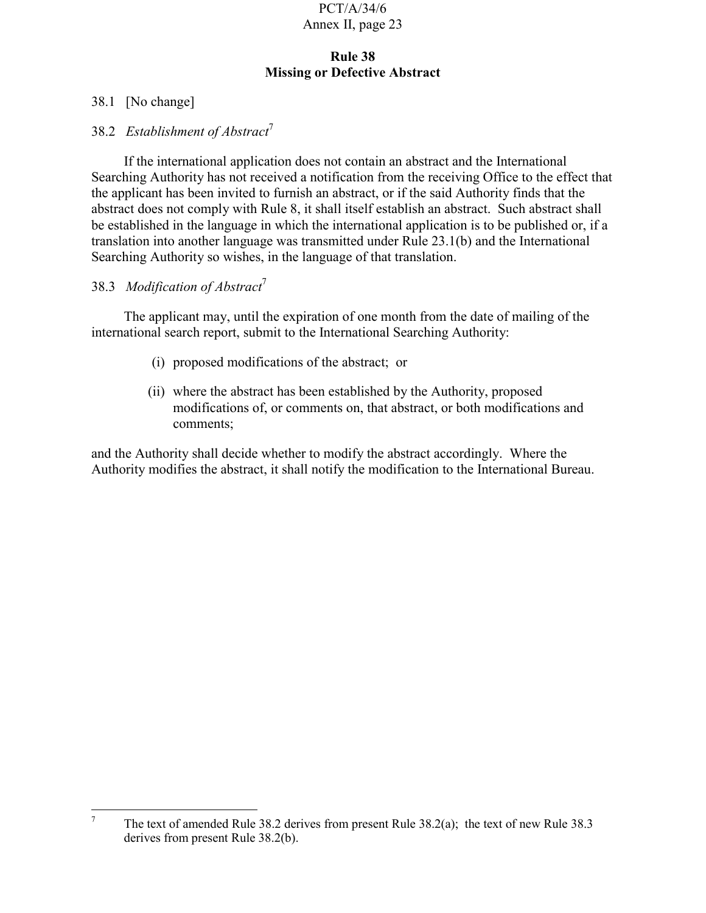# **Rule 38 Missing or Defective Abstract**

## 38.1 [No change]

## 38.2 *Establishment of Abstract*<sup>7</sup>

If the international application does not contain an abstract and the International Searching Authority has not received a notification from the receiving Office to the effect that the applicant has been invited to furnish an abstract, or if the said Authority finds that the abstract does not comply with Rule 8, it shall itself establish an abstract. Such abstract shall be established in the language in which the international application is to be published or, if a translation into another language was transmitted under Rule 23.1(b) and the International Searching Authority so wishes, in the language of that translation.

# 38.3 *Modification of Abstract*<sup>7</sup>

The applicant may, until the expiration of one month from the date of mailing of the international search report, submit to the International Searching Authority:

- (i) proposed modifications of the abstract; or
- (ii) where the abstract has been established by the Authority, proposed modifications of, or comments on, that abstract, or both modifications and comments;

and the Authority shall decide whether to modify the abstract accordingly. Where the Authority modifies the abstract, it shall notify the modification to the International Bureau.

 $\boldsymbol{7}$ <sup>7</sup> The text of amended Rule 38.2 derives from present Rule 38.2(a); the text of new Rule 38.3 derives from present Rule 38.2(b).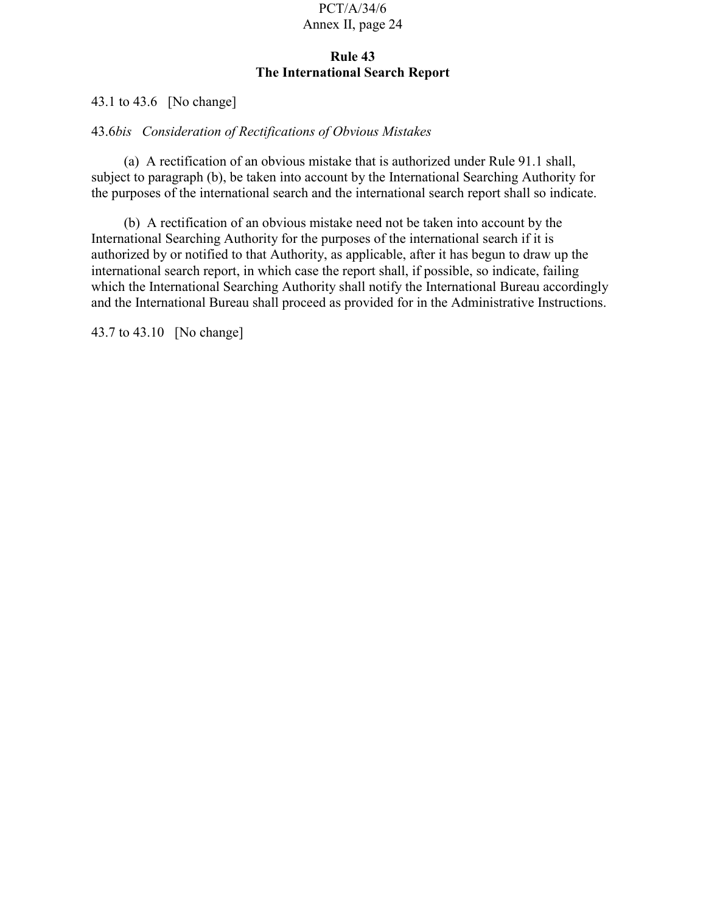# **Rule 43 The International Search Report**

43.1 to 43.6 [No change]

#### 43.6*bis Consideration of Rectifications of Obvious Mistakes*

(a) A rectification of an obvious mistake that is authorized under Rule 91.1 shall, subject to paragraph (b), be taken into account by the International Searching Authority for the purposes of the international search and the international search report shall so indicate.

(b) A rectification of an obvious mistake need not be taken into account by the International Searching Authority for the purposes of the international search if it is authorized by or notified to that Authority, as applicable, after it has begun to draw up the international search report, in which case the report shall, if possible, so indicate, failing which the International Searching Authority shall notify the International Bureau accordingly and the International Bureau shall proceed as provided for in the Administrative Instructions.

43.7 to 43.10 [No change]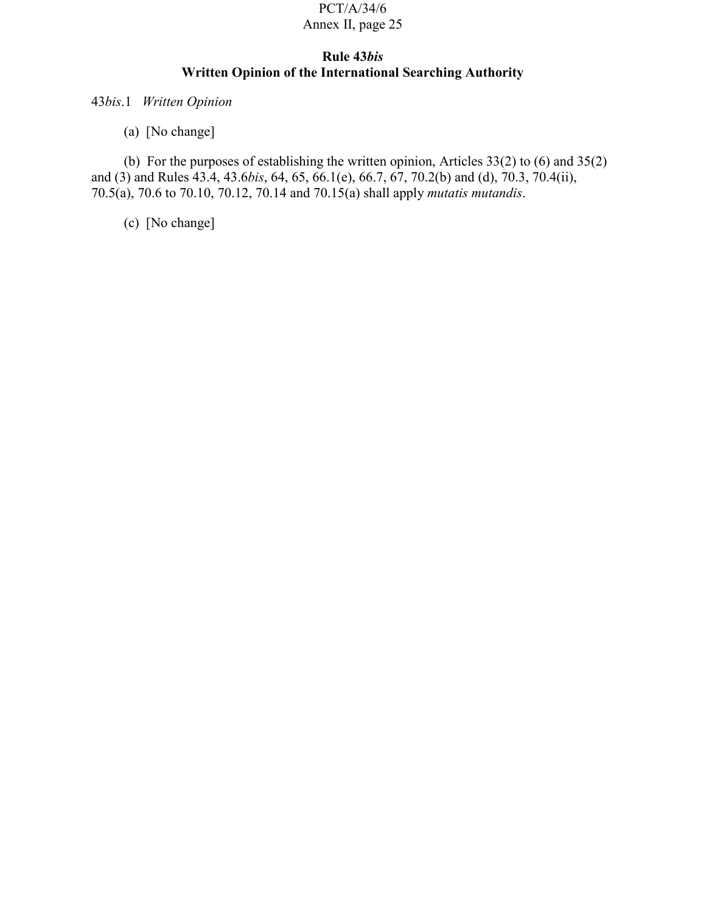# **Rule 43***bis* **Written Opinion of the International Searching Authority**

43*bis*.1 *Written Opinion*

(a) [No change]

(b) For the purposes of establishing the written opinion, Articles 33(2) to (6) and 35(2) and (3) and Rules 43.4, 43.6*bis*, 64, 65, 66.1(e), 66.7, 67, 70.2(b) and (d), 70.3, 70.4(ii), 70.5(a), 70.6 to 70.10, 70.12, 70.14 and 70.15(a) shall apply *mutatis mutandis*.

(c) [No change]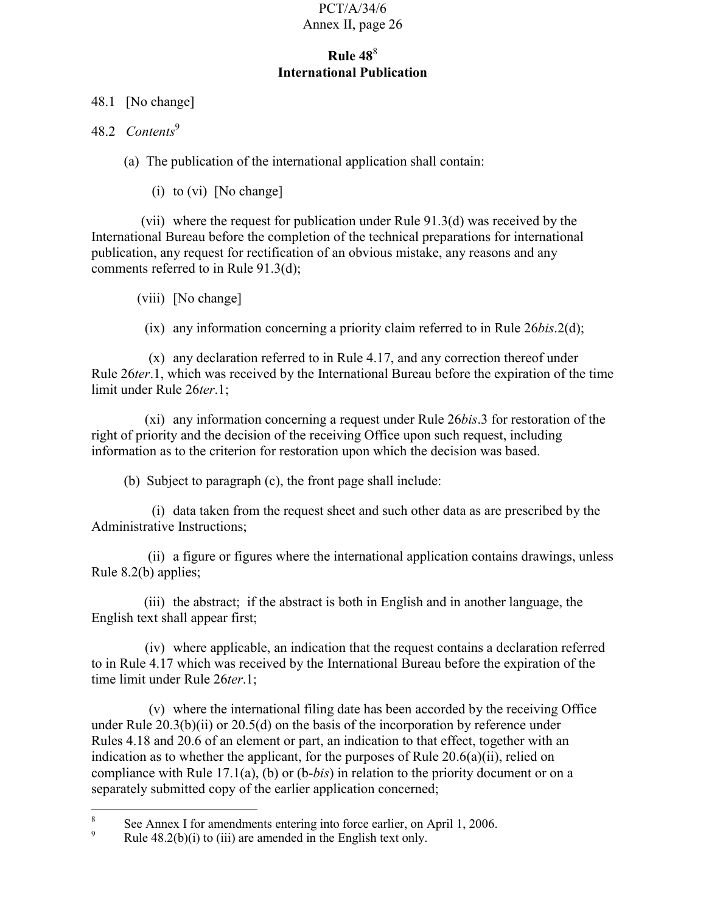# **Rule 48**<sup>8</sup> **International Publication**

48.1 [No change]

48.2 *Contents*<sup>9</sup>

(a) The publication of the international application shall contain:

(i) to (vi) [No change]

(vii) where the request for publication under Rule 91.3(d) was received by the International Bureau before the completion of the technical preparations for international publication, any request for rectification of an obvious mistake, any reasons and any comments referred to in Rule 91.3(d);

(viii) [No change]

(ix) any information concerning a priority claim referred to in Rule 26*bis*.2(d);

(x) any declaration referred to in Rule 4.17, and any correction thereof under Rule 26*ter*.1, which was received by the International Bureau before the expiration of the time limit under Rule 26*ter*.1;

(xi) any information concerning a request under Rule 26*bis*.3 for restoration of the right of priority and the decision of the receiving Office upon such request, including information as to the criterion for restoration upon which the decision was based.

(b) Subject to paragraph (c), the front page shall include:

(i) data taken from the request sheet and such other data as are prescribed by the Administrative Instructions;

(ii) a figure or figures where the international application contains drawings, unless Rule 8.2(b) applies;

(iii) the abstract; if the abstract is both in English and in another language, the English text shall appear first;

(iv) where applicable, an indication that the request contains a declaration referred to in Rule 4.17 which was received by the International Bureau before the expiration of the time limit under Rule 26*ter*.1;

(v) where the international filing date has been accorded by the receiving Office under Rule  $20.3(b)(ii)$  or  $20.5(d)$  on the basis of the incorporation by reference under Rules 4.18 and 20.6 of an element or part, an indication to that effect, together with an indication as to whether the applicant, for the purposes of Rule  $20.6(a)(ii)$ , relied on compliance with Rule 17.1(a), (b) or (b-*bis*) in relation to the priority document or on a separately submitted copy of the earlier application concerned;

 $\,$  8  $\,$ <sup>8</sup> See Annex I for amendments entering into force earlier, on April 1, 2006.

Rule  $48.2(b)(i)$  to (iii) are amended in the English text only.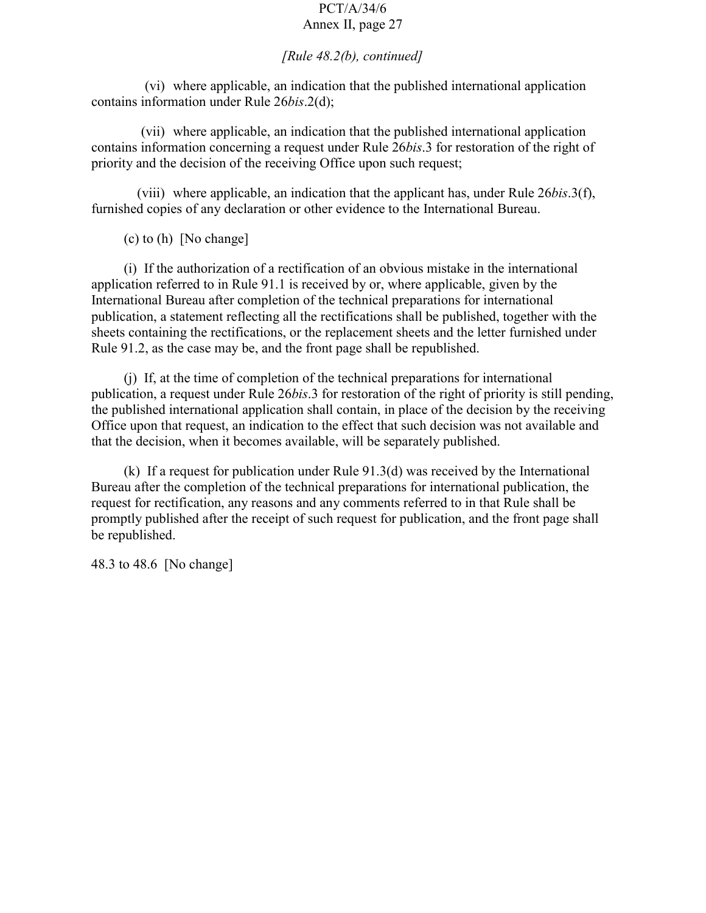#### *[Rule 48.2(b), continued]*

(vi) where applicable, an indication that the published international application contains information under Rule 26*bis*.2(d);

(vii) where applicable, an indication that the published international application contains information concerning a request under Rule 26*bis*.3 for restoration of the right of priority and the decision of the receiving Office upon such request;

(viii) where applicable, an indication that the applicant has, under Rule 26*bis*.3(f), furnished copies of any declaration or other evidence to the International Bureau.

(c) to (h) [No change]

(i) If the authorization of a rectification of an obvious mistake in the international application referred to in Rule 91.1 is received by or, where applicable, given by the International Bureau after completion of the technical preparations for international publication, a statement reflecting all the rectifications shall be published, together with the sheets containing the rectifications, or the replacement sheets and the letter furnished under Rule 91.2, as the case may be, and the front page shall be republished.

(j) If, at the time of completion of the technical preparations for international publication, a request under Rule 26*bis*.3 for restoration of the right of priority is still pending, the published international application shall contain, in place of the decision by the receiving Office upon that request, an indication to the effect that such decision was not available and that the decision, when it becomes available, will be separately published.

(k) If a request for publication under Rule 91.3(d) was received by the International Bureau after the completion of the technical preparations for international publication, the request for rectification, any reasons and any comments referred to in that Rule shall be promptly published after the receipt of such request for publication, and the front page shall be republished.

48.3 to 48.6 [No change]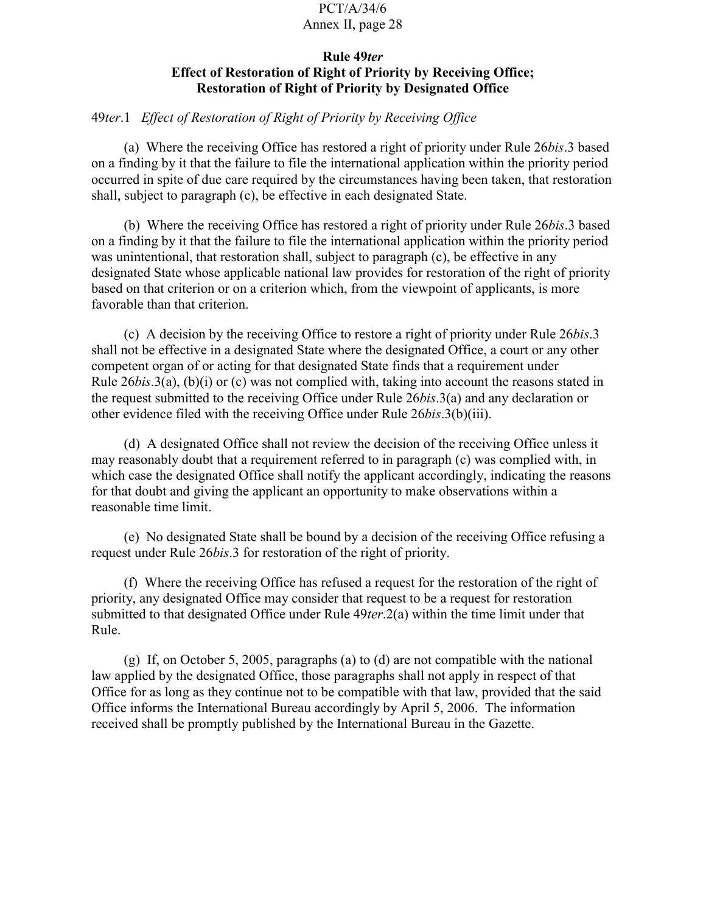#### **Rule 49***ter* **Effect of Restoration of Right of Priority by Receiving Office; Restoration of Right of Priority by Designated Office**

49*ter*.1 *Effect of Restoration of Right of Priority by Receiving Office*

(a) Where the receiving Office has restored a right of priority under Rule 26*bis*.3 based on a finding by it that the failure to file the international application within the priority period occurred in spite of due care required by the circumstances having been taken, that restoration shall, subject to paragraph (c), be effective in each designated State.

(b) Where the receiving Office has restored a right of priority under Rule 26*bis*.3 based on a finding by it that the failure to file the international application within the priority period was unintentional, that restoration shall, subject to paragraph (c), be effective in any designated State whose applicable national law provides for restoration of the right of priority based on that criterion or on a criterion which, from the viewpoint of applicants, is more favorable than that criterion.

(c) A decision by the receiving Office to restore a right of priority under Rule 26*bis*.3 shall not be effective in a designated State where the designated Office, a court or any other competent organ of or acting for that designated State finds that a requirement under Rule 26*bis*.3(a), (b)(i) or (c) was not complied with, taking into account the reasons stated in the request submitted to the receiving Office under Rule 26*bis*.3(a) and any declaration or other evidence filed with the receiving Office under Rule 26*bis*.3(b)(iii).

(d) A designated Office shall not review the decision of the receiving Office unless it may reasonably doubt that a requirement referred to in paragraph (c) was complied with, in which case the designated Office shall notify the applicant accordingly, indicating the reasons for that doubt and giving the applicant an opportunity to make observations within a reasonable time limit.

(e) No designated State shall be bound by a decision of the receiving Office refusing a request under Rule 26*bis*.3 for restoration of the right of priority.

(f) Where the receiving Office has refused a request for the restoration of the right of priority, any designated Office may consider that request to be a request for restoration submitted to that designated Office under Rule 49*ter*.2(a) within the time limit under that Rule.

(g) If, on October 5, 2005, paragraphs (a) to (d) are not compatible with the national law applied by the designated Office, those paragraphs shall not apply in respect of that Office for as long as they continue not to be compatible with that law, provided that the said Office informs the International Bureau accordingly by April 5, 2006. The information received shall be promptly published by the International Bureau in the Gazette.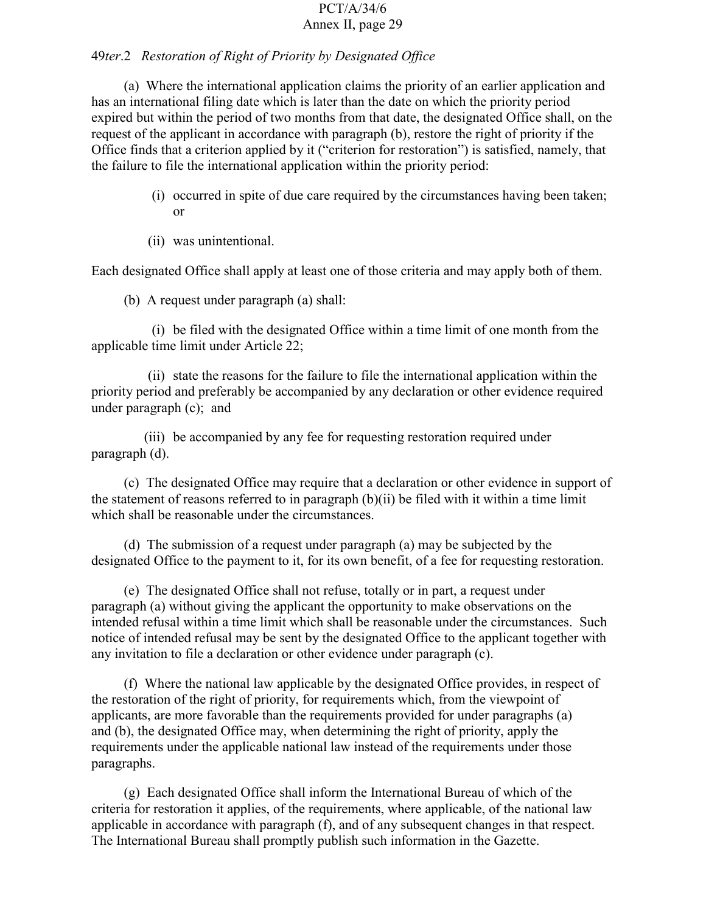## 49*ter*.2 *Restoration of Right of Priority by Designated Office*

(a) Where the international application claims the priority of an earlier application and has an international filing date which is later than the date on which the priority period expired but within the period of two months from that date, the designated Office shall, on the request of the applicant in accordance with paragraph (b), restore the right of priority if the Office finds that a criterion applied by it ("criterion for restoration") is satisfied, namely, that the failure to file the international application within the priority period:

- (i) occurred in spite of due care required by the circumstances having been taken; or
- (ii) was unintentional.

Each designated Office shall apply at least one of those criteria and may apply both of them.

(b) A request under paragraph (a) shall:

(i) be filed with the designated Office within a time limit of one month from the applicable time limit under Article 22;

(ii) state the reasons for the failure to file the international application within the priority period and preferably be accompanied by any declaration or other evidence required under paragraph (c); and

(iii) be accompanied by any fee for requesting restoration required under paragraph (d).

(c) The designated Office may require that a declaration or other evidence in support of the statement of reasons referred to in paragraph  $(b)(ii)$  be filed with it within a time limit which shall be reasonable under the circumstances.

(d) The submission of a request under paragraph (a) may be subjected by the designated Office to the payment to it, for its own benefit, of a fee for requesting restoration.

(e) The designated Office shall not refuse, totally or in part, a request under paragraph (a) without giving the applicant the opportunity to make observations on the intended refusal within a time limit which shall be reasonable under the circumstances. Such notice of intended refusal may be sent by the designated Office to the applicant together with any invitation to file a declaration or other evidence under paragraph (c).

(f) Where the national law applicable by the designated Office provides, in respect of the restoration of the right of priority, for requirements which, from the viewpoint of applicants, are more favorable than the requirements provided for under paragraphs (a) and (b), the designated Office may, when determining the right of priority, apply the requirements under the applicable national law instead of the requirements under those paragraphs.

(g) Each designated Office shall inform the International Bureau of which of the criteria for restoration it applies, of the requirements, where applicable, of the national law applicable in accordance with paragraph (f), and of any subsequent changes in that respect. The International Bureau shall promptly publish such information in the Gazette.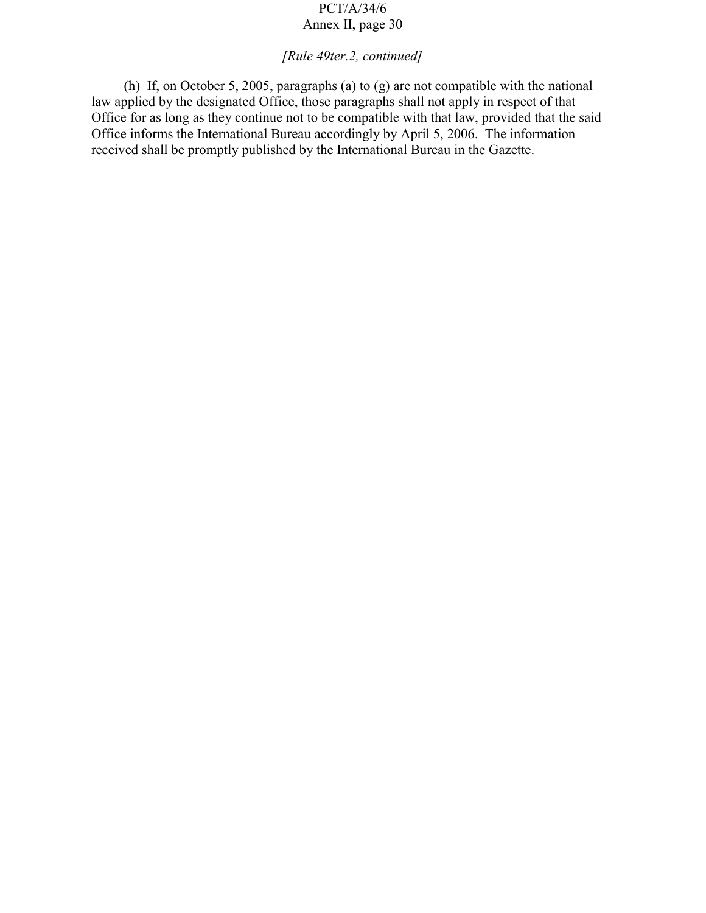# *[Rule 49ter.2, continued]*

(h) If, on October 5, 2005, paragraphs (a) to (g) are not compatible with the national law applied by the designated Office, those paragraphs shall not apply in respect of that Office for as long as they continue not to be compatible with that law, provided that the said Office informs the International Bureau accordingly by April 5, 2006. The information received shall be promptly published by the International Bureau in the Gazette.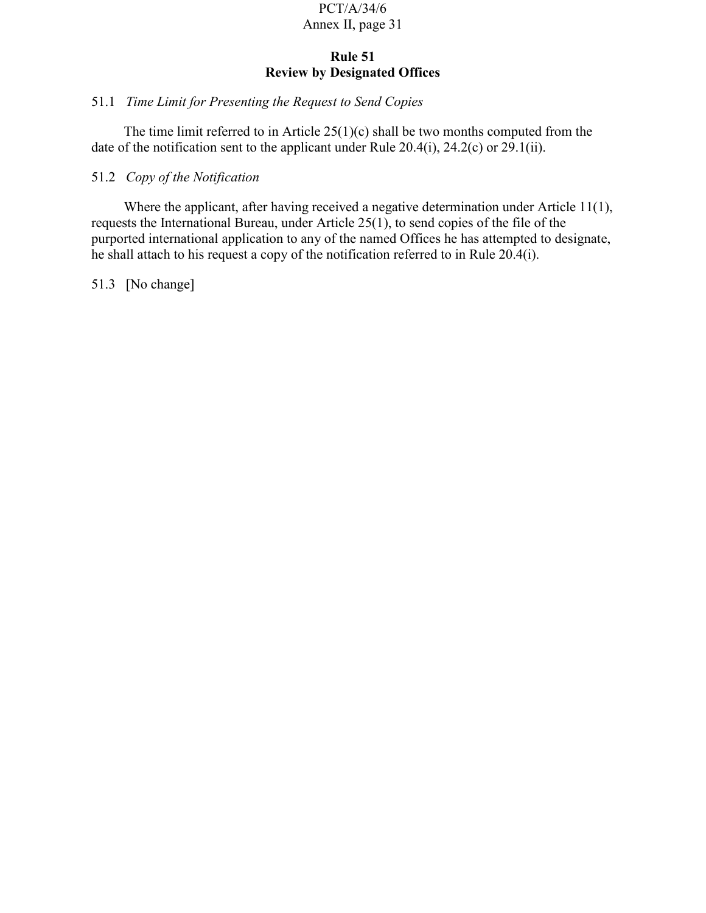# **Rule 51 Review by Designated Offices**

#### 51.1 *Time Limit for Presenting the Request to Send Copies*

The time limit referred to in Article  $25(1)(c)$  shall be two months computed from the date of the notification sent to the applicant under Rule 20.4(i), 24.2(c) or 29.1(ii).

#### 51.2 *Copy of the Notification*

Where the applicant, after having received a negative determination under Article 11(1), requests the International Bureau, under Article 25(1), to send copies of the file of the purported international application to any of the named Offices he has attempted to designate, he shall attach to his request a copy of the notification referred to in Rule 20.4(i).

51.3 [No change]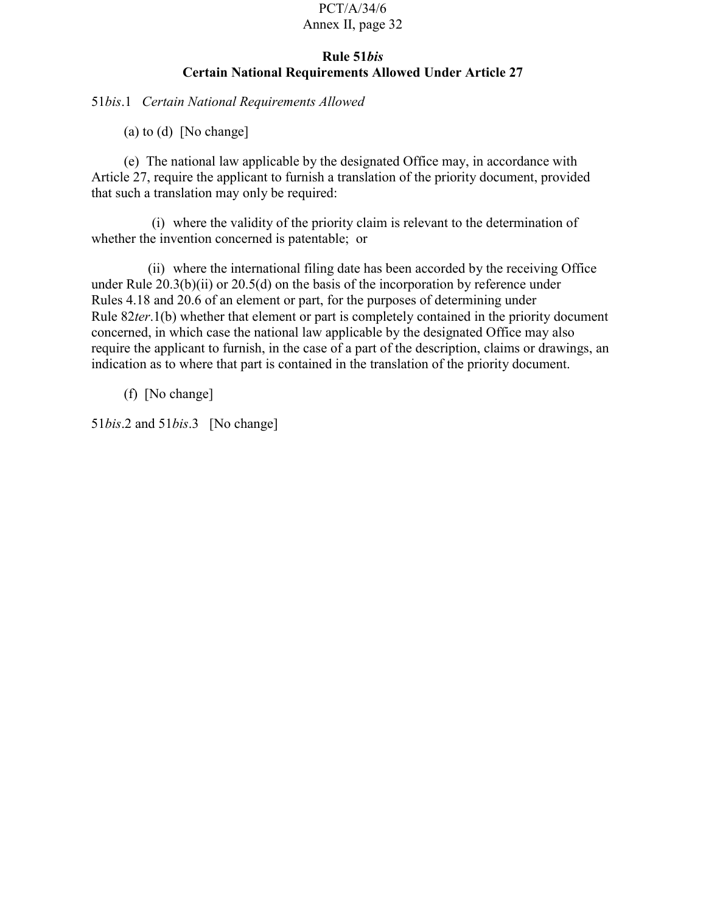#### **Rule 51***bis* **Certain National Requirements Allowed Under Article 27**

51*bis*.1 *Certain National Requirements Allowed*

(a) to (d) [No change]

(e) The national law applicable by the designated Office may, in accordance with Article 27, require the applicant to furnish a translation of the priority document, provided that such a translation may only be required:

(i) where the validity of the priority claim is relevant to the determination of whether the invention concerned is patentable; or

(ii) where the international filing date has been accorded by the receiving Office under Rule  $20.3(b)(ii)$  or  $20.5(d)$  on the basis of the incorporation by reference under Rules 4.18 and 20.6 of an element or part, for the purposes of determining under Rule 82*ter*.1(b) whether that element or part is completely contained in the priority document concerned, in which case the national law applicable by the designated Office may also require the applicant to furnish, in the case of a part of the description, claims or drawings, an indication as to where that part is contained in the translation of the priority document.

(f) [No change]

51*bis*.2 and 51*bis*.3 [No change]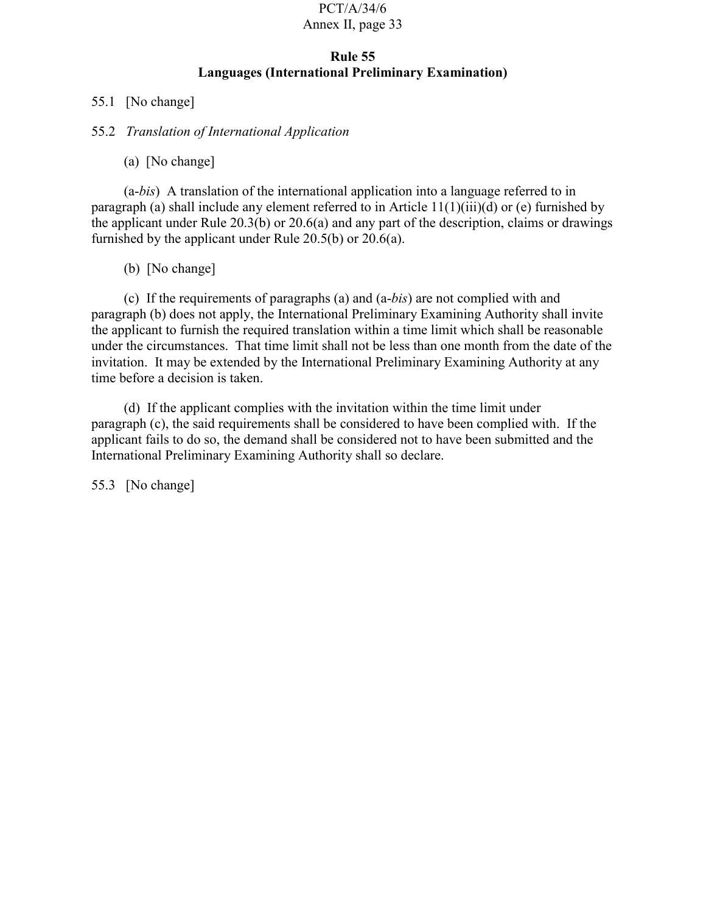#### **Rule 55 Languages (International Preliminary Examination)**

55.1 [No change]

55.2 *Translation of International Application*

(a) [No change]

(a-*bis*) A translation of the international application into a language referred to in paragraph (a) shall include any element referred to in Article  $11(1)(iii)(d)$  or (e) furnished by the applicant under Rule 20.3(b) or 20.6(a) and any part of the description, claims or drawings furnished by the applicant under Rule 20.5(b) or 20.6(a).

(b) [No change]

(c) If the requirements of paragraphs (a) and (a-*bis*) are not complied with and paragraph (b) does not apply, the International Preliminary Examining Authority shall invite the applicant to furnish the required translation within a time limit which shall be reasonable under the circumstances. That time limit shall not be less than one month from the date of the invitation. It may be extended by the International Preliminary Examining Authority at any time before a decision is taken.

(d) If the applicant complies with the invitation within the time limit under paragraph (c), the said requirements shall be considered to have been complied with. If the applicant fails to do so, the demand shall be considered not to have been submitted and the International Preliminary Examining Authority shall so declare.

55.3 [No change]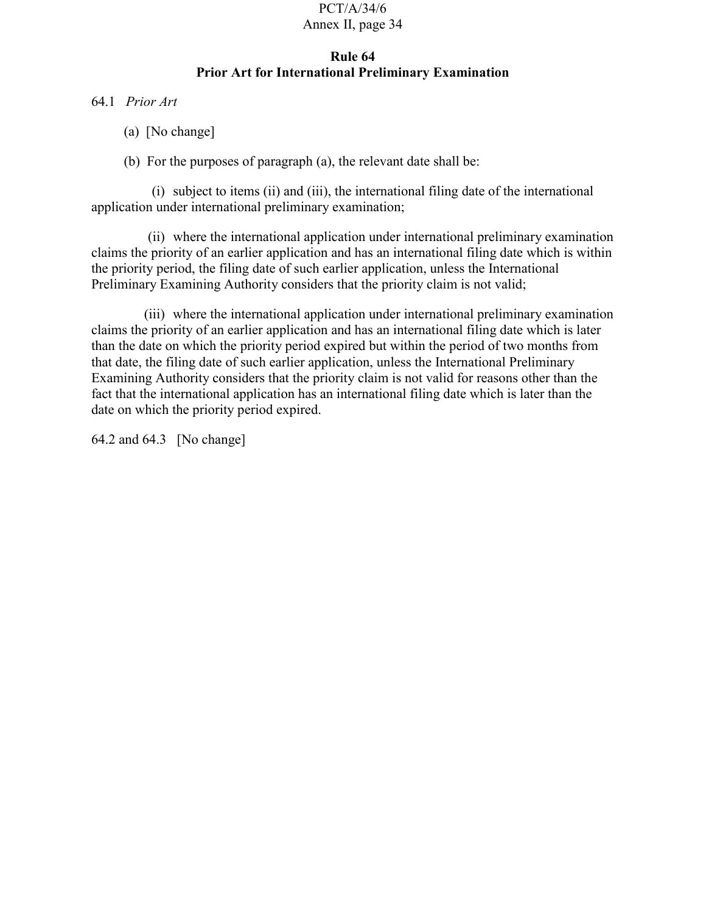# **Rule 64 Prior Art for International Preliminary Examination**

64.1 *Prior Art*

(a) [No change]

(b) For the purposes of paragraph (a), the relevant date shall be:

(i) subject to items (ii) and (iii), the international filing date of the international application under international preliminary examination;

(ii) where the international application under international preliminary examination claims the priority of an earlier application and has an international filing date which is within the priority period, the filing date of such earlier application, unless the International Preliminary Examining Authority considers that the priority claim is not valid;

(iii) where the international application under international preliminary examination claims the priority of an earlier application and has an international filing date which is later than the date on which the priority period expired but within the period of two months from that date, the filing date of such earlier application, unless the International Preliminary Examining Authority considers that the priority claim is not valid for reasons other than the fact that the international application has an international filing date which is later than the date on which the priority period expired.

64.2 and 64.3 [No change]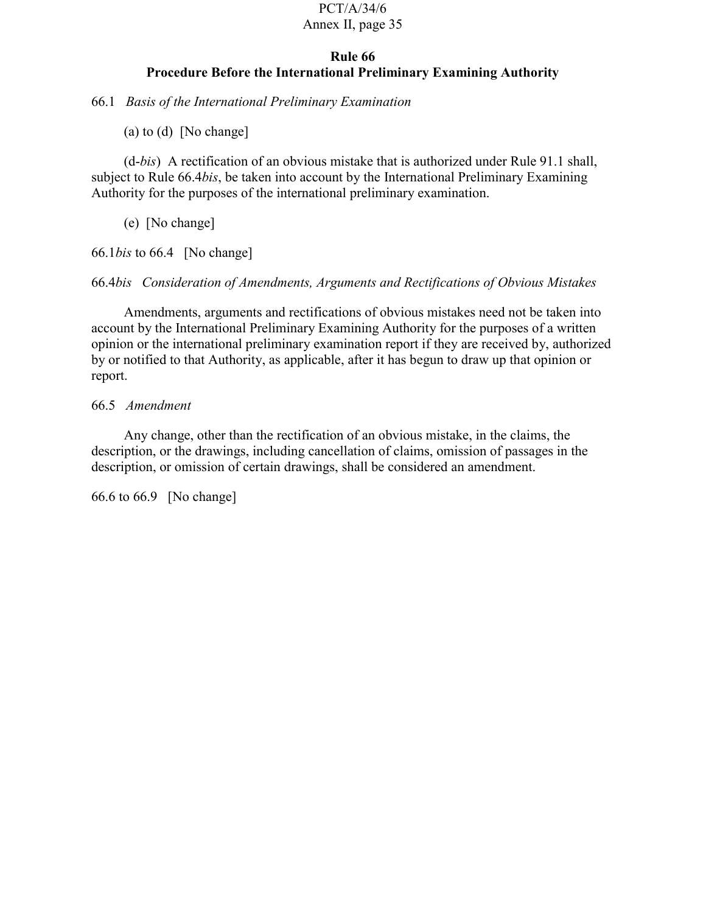#### **Rule 66 Procedure Before the International Preliminary Examining Authority**

66.1 *Basis of the International Preliminary Examination*

(a) to (d) [No change]

(d-*bis*) A rectification of an obvious mistake that is authorized under Rule 91.1 shall, subject to Rule 66.4*bis*, be taken into account by the International Preliminary Examining Authority for the purposes of the international preliminary examination.

(e) [No change]

66.1*bis* to 66.4 [No change]

66.4*bis Consideration of Amendments, Arguments and Rectifications of Obvious Mistakes*

Amendments, arguments and rectifications of obvious mistakes need not be taken into account by the International Preliminary Examining Authority for the purposes of a written opinion or the international preliminary examination report if they are received by, authorized by or notified to that Authority, as applicable, after it has begun to draw up that opinion or report.

66.5 *Amendment*

Any change, other than the rectification of an obvious mistake, in the claims, the description, or the drawings, including cancellation of claims, omission of passages in the description, or omission of certain drawings, shall be considered an amendment.

66.6 to 66.9 [No change]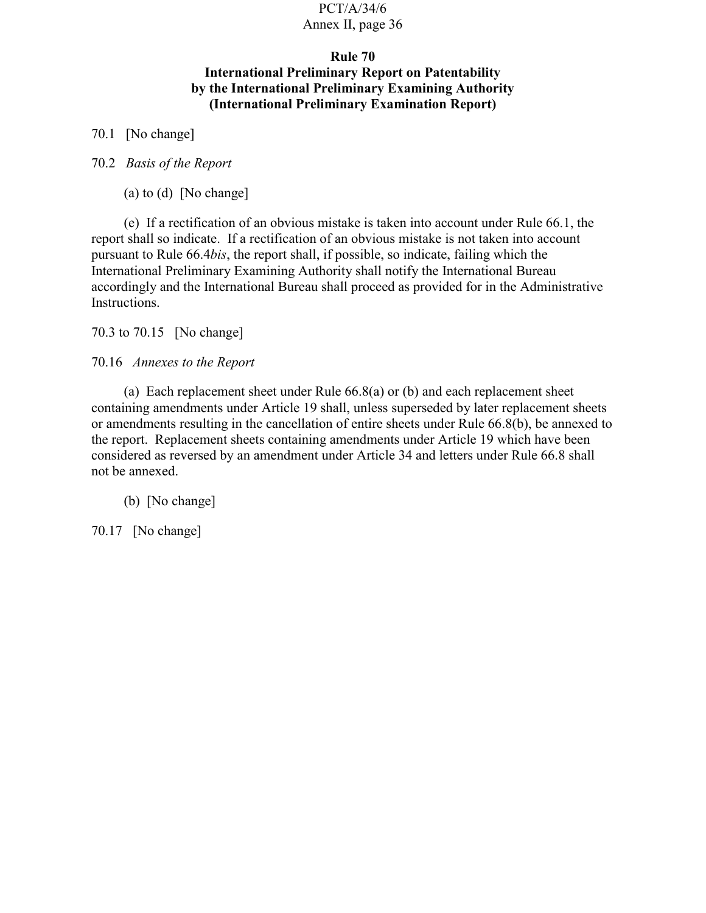## **Rule 70 International Preliminary Report on Patentability by the International Preliminary Examining Authority (International Preliminary Examination Report)**

70.1 [No change]

#### 70.2 *Basis of the Report*

(a) to (d) [No change]

(e) If a rectification of an obvious mistake is taken into account under Rule 66.1, the report shall so indicate. If a rectification of an obvious mistake is not taken into account pursuant to Rule 66.4*bis*, the report shall, if possible, so indicate, failing which the International Preliminary Examining Authority shall notify the International Bureau accordingly and the International Bureau shall proceed as provided for in the Administrative Instructions.

70.3 to 70.15 [No change]

70.16 *Annexes to the Report*

(a) Each replacement sheet under Rule 66.8(a) or (b) and each replacement sheet containing amendments under Article 19 shall, unless superseded by later replacement sheets or amendments resulting in the cancellation of entire sheets under Rule 66.8(b), be annexed to the report. Replacement sheets containing amendments under Article 19 which have been considered as reversed by an amendment under Article 34 and letters under Rule 66.8 shall not be annexed.

(b) [No change]

70.17 [No change]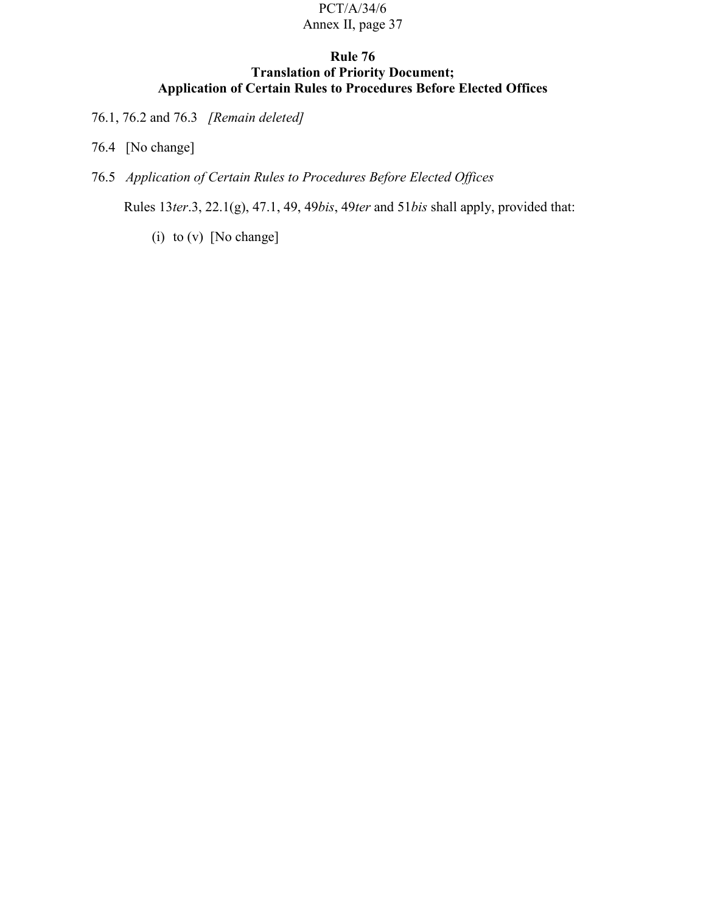#### **Rule 76 Translation of Priority Document; Application of Certain Rules to Procedures Before Elected Offices**

76.1, 76.2 and 76.3 *[Remain deleted]*

- 76.4 [No change]
- 76.5 *Application of Certain Rules to Procedures Before Elected Offices*

Rules 13*ter*.3, 22.1(g), 47.1, 49, 49*bis*, 49*ter* and 51*bis* shall apply, provided that:

(i) to (v) [No change]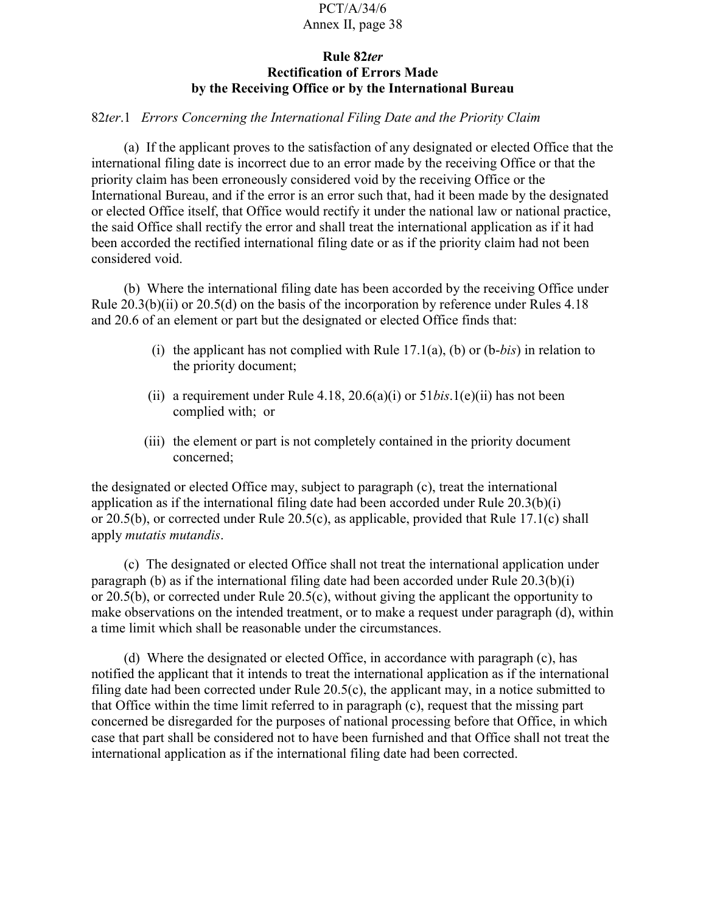#### **Rule 82***ter* **Rectification of Errors Made by the Receiving Office or by the International Bureau**

#### 82*ter*.1 *Errors Concerning the International Filing Date and the Priority Claim*

(a) If the applicant proves to the satisfaction of any designated or elected Office that the international filing date is incorrect due to an error made by the receiving Office or that the priority claim has been erroneously considered void by the receiving Office or the International Bureau, and if the error is an error such that, had it been made by the designated or elected Office itself, that Office would rectify it under the national law or national practice, the said Office shall rectify the error and shall treat the international application as if it had been accorded the rectified international filing date or as if the priority claim had not been considered void.

(b) Where the international filing date has been accorded by the receiving Office under Rule 20.3(b)(ii) or 20.5(d) on the basis of the incorporation by reference under Rules 4.18 and 20.6 of an element or part but the designated or elected Office finds that:

- (i) the applicant has not complied with Rule 17.1(a), (b) or (b-*bis*) in relation to the priority document;
- (ii) a requirement under Rule 4.18, 20.6(a)(i) or 51*bis*.1(e)(ii) has not been complied with; or
- (iii) the element or part is not completely contained in the priority document concerned;

the designated or elected Office may, subject to paragraph (c), treat the international application as if the international filing date had been accorded under Rule  $20.3(b)(i)$ or 20.5(b), or corrected under Rule 20.5(c), as applicable, provided that Rule 17.1(c) shall apply *mutatis mutandis*.

(c) The designated or elected Office shall not treat the international application under paragraph (b) as if the international filing date had been accorded under Rule 20.3(b)(i) or 20.5(b), or corrected under Rule 20.5(c), without giving the applicant the opportunity to make observations on the intended treatment, or to make a request under paragraph (d), within a time limit which shall be reasonable under the circumstances.

(d) Where the designated or elected Office, in accordance with paragraph (c), has notified the applicant that it intends to treat the international application as if the international filing date had been corrected under Rule 20.5(c), the applicant may, in a notice submitted to that Office within the time limit referred to in paragraph (c), request that the missing part concerned be disregarded for the purposes of national processing before that Office, in which case that part shall be considered not to have been furnished and that Office shall not treat the international application as if the international filing date had been corrected.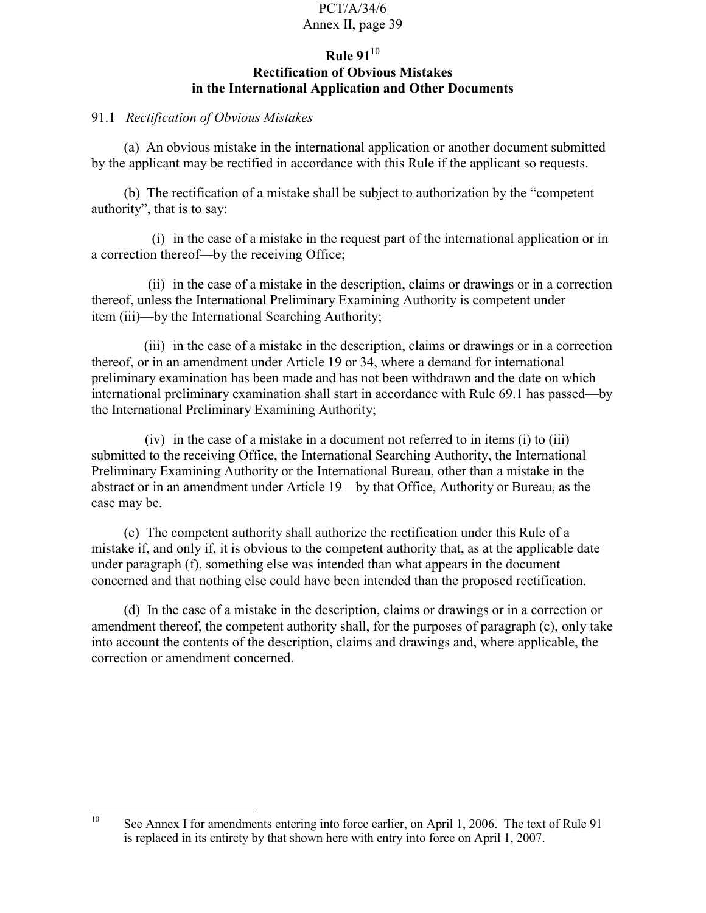# **Rule 91**<sup>10</sup> **Rectification of Obvious Mistakes in the International Application and Other Documents**

#### 91.1 *Rectification of Obvious Mistakes*

(a) An obvious mistake in the international application or another document submitted by the applicant may be rectified in accordance with this Rule if the applicant so requests.

(b) The rectification of a mistake shall be subject to authorization by the "competent authority", that is to say:

(i) in the case of a mistake in the request part of the international application or in a correction thereof—by the receiving Office;

(ii) in the case of a mistake in the description, claims or drawings or in a correction thereof, unless the International Preliminary Examining Authority is competent under item (iii)—by the International Searching Authority;

(iii) in the case of a mistake in the description, claims or drawings or in a correction thereof, or in an amendment under Article 19 or 34, where a demand for international preliminary examination has been made and has not been withdrawn and the date on which international preliminary examination shall start in accordance with Rule 69.1 has passed—by the International Preliminary Examining Authority;

(iv) in the case of a mistake in a document not referred to in items (i) to (iii) submitted to the receiving Office, the International Searching Authority, the International Preliminary Examining Authority or the International Bureau, other than a mistake in the abstract or in an amendment under Article 19—by that Office, Authority or Bureau, as the case may be.

(c) The competent authority shall authorize the rectification under this Rule of a mistake if, and only if, it is obvious to the competent authority that, as at the applicable date under paragraph (f), something else was intended than what appears in the document concerned and that nothing else could have been intended than the proposed rectification.

(d) In the case of a mistake in the description, claims or drawings or in a correction or amendment thereof, the competent authority shall, for the purposes of paragraph (c), only take into account the contents of the description, claims and drawings and, where applicable, the correction or amendment concerned.

 $10\,$ See Annex I for amendments entering into force earlier, on April 1, 2006. The text of Rule 91 is replaced in its entirety by that shown here with entry into force on April 1, 2007.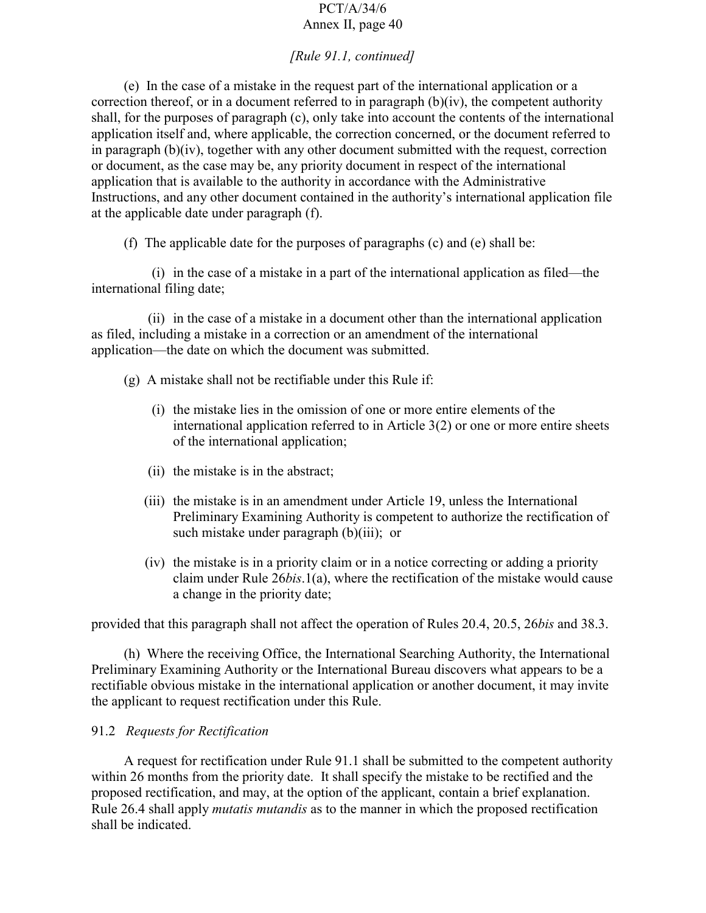#### *[Rule 91.1, continued]*

(e) In the case of a mistake in the request part of the international application or a correction thereof, or in a document referred to in paragraph (b)(iv), the competent authority shall, for the purposes of paragraph (c), only take into account the contents of the international application itself and, where applicable, the correction concerned, or the document referred to in paragraph (b)(iv), together with any other document submitted with the request, correction or document, as the case may be, any priority document in respect of the international application that is available to the authority in accordance with the Administrative Instructions, and any other document contained in the authority's international application file at the applicable date under paragraph (f).

(f) The applicable date for the purposes of paragraphs (c) and (e) shall be:

(i) in the case of a mistake in a part of the international application as filed—the international filing date;

(ii) in the case of a mistake in a document other than the international application as filed, including a mistake in a correction or an amendment of the international application—the date on which the document was submitted.

- (g) A mistake shall not be rectifiable under this Rule if:
	- (i) the mistake lies in the omission of one or more entire elements of the international application referred to in Article 3(2) or one or more entire sheets of the international application;
	- (ii) the mistake is in the abstract;
	- (iii) the mistake is in an amendment under Article 19, unless the International Preliminary Examining Authority is competent to authorize the rectification of such mistake under paragraph (b)(iii); or
	- (iv) the mistake is in a priority claim or in a notice correcting or adding a priority claim under Rule 26*bis*.1(a), where the rectification of the mistake would cause a change in the priority date;

provided that this paragraph shall not affect the operation of Rules 20.4, 20.5, 26*bis* and 38.3.

(h) Where the receiving Office, the International Searching Authority, the International Preliminary Examining Authority or the International Bureau discovers what appears to be a rectifiable obvious mistake in the international application or another document, it may invite the applicant to request rectification under this Rule.

#### 91.2 *Requests for Rectification*

A request for rectification under Rule 91.1 shall be submitted to the competent authority within 26 months from the priority date. It shall specify the mistake to be rectified and the proposed rectification, and may, at the option of the applicant, contain a brief explanation. Rule 26.4 shall apply *mutatis mutandis* as to the manner in which the proposed rectification shall be indicated.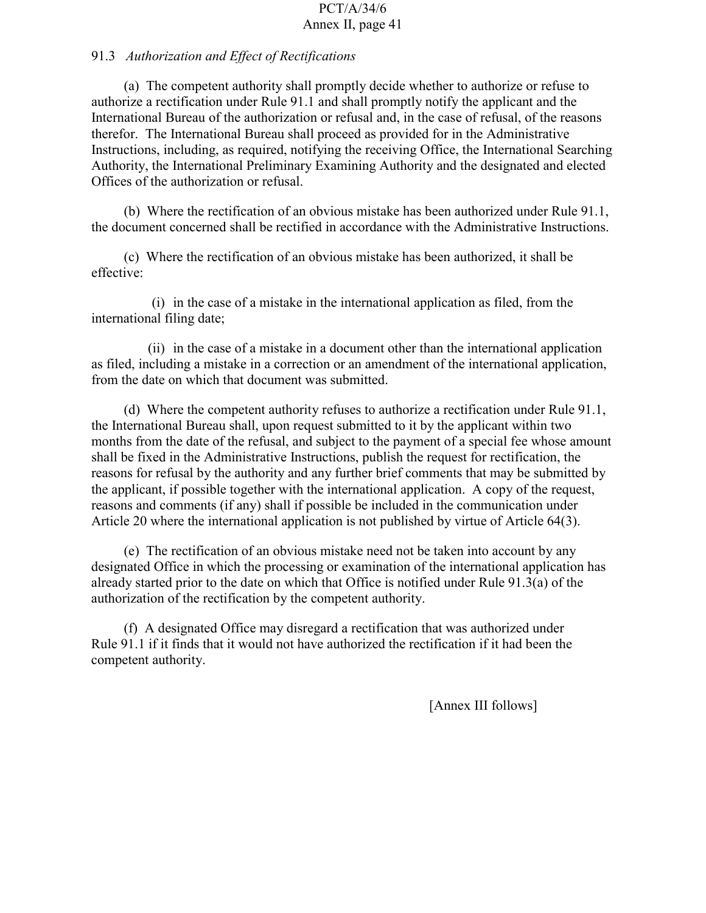#### 91.3 *Authorization and Effect of Rectifications*

(a) The competent authority shall promptly decide whether to authorize or refuse to authorize a rectification under Rule 91.1 and shall promptly notify the applicant and the International Bureau of the authorization or refusal and, in the case of refusal, of the reasons therefor. The International Bureau shall proceed as provided for in the Administrative Instructions, including, as required, notifying the receiving Office, the International Searching Authority, the International Preliminary Examining Authority and the designated and elected Offices of the authorization or refusal.

(b) Where the rectification of an obvious mistake has been authorized under Rule 91.1, the document concerned shall be rectified in accordance with the Administrative Instructions.

(c) Where the rectification of an obvious mistake has been authorized, it shall be effective:

(i) in the case of a mistake in the international application as filed, from the international filing date;

(ii) in the case of a mistake in a document other than the international application as filed, including a mistake in a correction or an amendment of the international application, from the date on which that document was submitted.

(d) Where the competent authority refuses to authorize a rectification under Rule 91.1, the International Bureau shall, upon request submitted to it by the applicant within two months from the date of the refusal, and subject to the payment of a special fee whose amount shall be fixed in the Administrative Instructions, publish the request for rectification, the reasons for refusal by the authority and any further brief comments that may be submitted by the applicant, if possible together with the international application. A copy of the request, reasons and comments (if any) shall if possible be included in the communication under Article 20 where the international application is not published by virtue of Article 64(3).

(e) The rectification of an obvious mistake need not be taken into account by any designated Office in which the processing or examination of the international application has already started prior to the date on which that Office is notified under Rule 91.3(a) of the authorization of the rectification by the competent authority.

(f) A designated Office may disregard a rectification that was authorized under Rule 91.1 if it finds that it would not have authorized the rectification if it had been the competent authority.

[Annex III follows]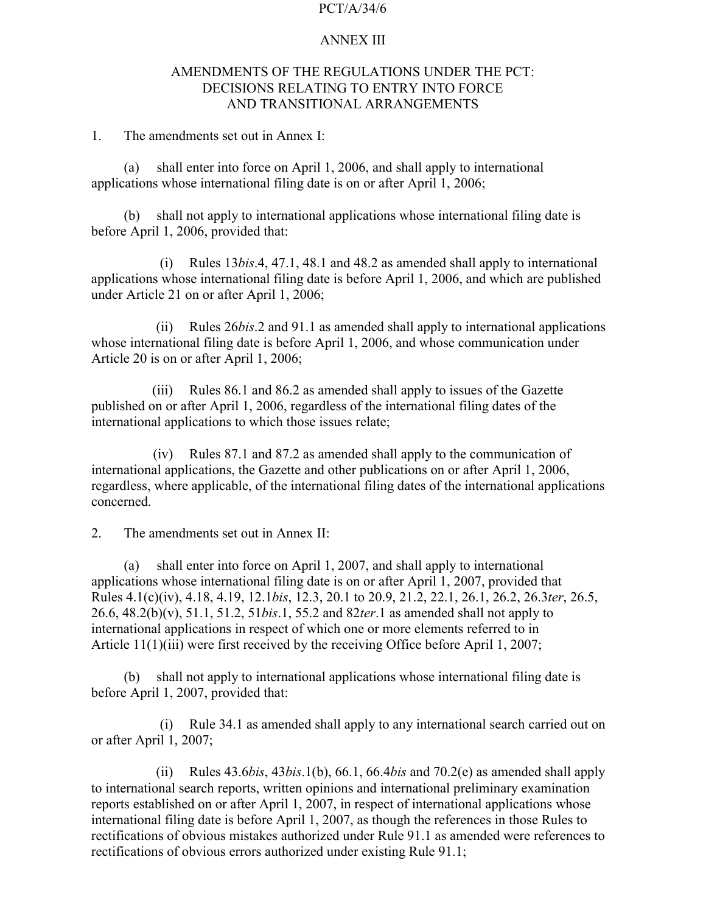#### PCT/A/34/6

#### ANNEX III

#### AMENDMENTS OF THE REGULATIONS UNDER THE PCT: DECISIONS RELATING TO ENTRY INTO FORCE AND TRANSITIONAL ARRANGEMENTS

1. The amendments set out in Annex I:

(a) shall enter into force on April 1, 2006, and shall apply to international applications whose international filing date is on or after April 1, 2006;

(b) shall not apply to international applications whose international filing date is before April 1, 2006, provided that:

(i) Rules 13*bis*.4, 47.1, 48.1 and 48.2 as amended shall apply to international applications whose international filing date is before April 1, 2006, and which are published under Article 21 on or after April 1, 2006;

(ii) Rules 26*bis*.2 and 91.1 as amended shall apply to international applications whose international filing date is before April 1, 2006, and whose communication under Article 20 is on or after April 1, 2006;

(iii) Rules 86.1 and 86.2 as amended shall apply to issues of the Gazette published on or after April 1, 2006, regardless of the international filing dates of the international applications to which those issues relate;

(iv) Rules 87.1 and 87.2 as amended shall apply to the communication of international applications, the Gazette and other publications on or after April 1, 2006, regardless, where applicable, of the international filing dates of the international applications concerned.

2. The amendments set out in Annex II:

(a) shall enter into force on April 1, 2007, and shall apply to international applications whose international filing date is on or after April 1, 2007, provided that Rules 4.1(c)(iv), 4.18, 4.19, 12.1*bis*, 12.3, 20.1 to 20.9, 21.2, 22.1, 26.1, 26.2, 26.3*ter*, 26.5, 26.6, 48.2(b)(v), 51.1, 51.2, 51*bis*.1, 55.2 and 82*ter*.1 as amended shall not apply to international applications in respect of which one or more elements referred to in Article 11(1)(iii) were first received by the receiving Office before April 1, 2007;

(b) shall not apply to international applications whose international filing date is before April 1, 2007, provided that:

(i) Rule 34.1 as amended shall apply to any international search carried out on or after April 1, 2007;

(ii) Rules 43.6*bis*, 43*bis*.1(b), 66.1, 66.4*bis* and 70.2(e) as amended shall apply to international search reports, written opinions and international preliminary examination reports established on or after April 1, 2007, in respect of international applications whose international filing date is before April 1, 2007, as though the references in those Rules to rectifications of obvious mistakes authorized under Rule 91.1 as amended were references to rectifications of obvious errors authorized under existing Rule 91.1;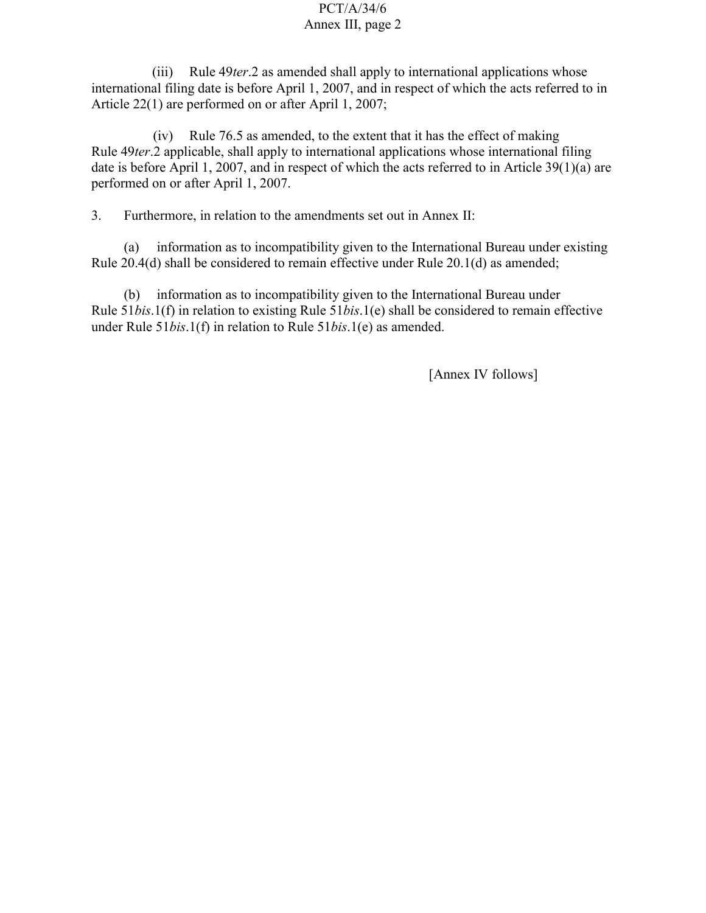(iii) Rule 49*ter*.2 as amended shall apply to international applications whose international filing date is before April 1, 2007, and in respect of which the acts referred to in Article 22(1) are performed on or after April 1, 2007;

(iv) Rule 76.5 as amended, to the extent that it has the effect of making Rule 49*ter*.2 applicable, shall apply to international applications whose international filing date is before April 1, 2007, and in respect of which the acts referred to in Article 39(1)(a) are performed on or after April 1, 2007.

3. Furthermore, in relation to the amendments set out in Annex II:

(a) information as to incompatibility given to the International Bureau under existing Rule 20.4(d) shall be considered to remain effective under Rule 20.1(d) as amended;

(b) information as to incompatibility given to the International Bureau under Rule 51*bis*.1(f) in relation to existing Rule 51*bis*.1(e) shall be considered to remain effective under Rule 51*bis*.1(f) in relation to Rule 51*bis*.1(e) as amended.

[Annex IV follows]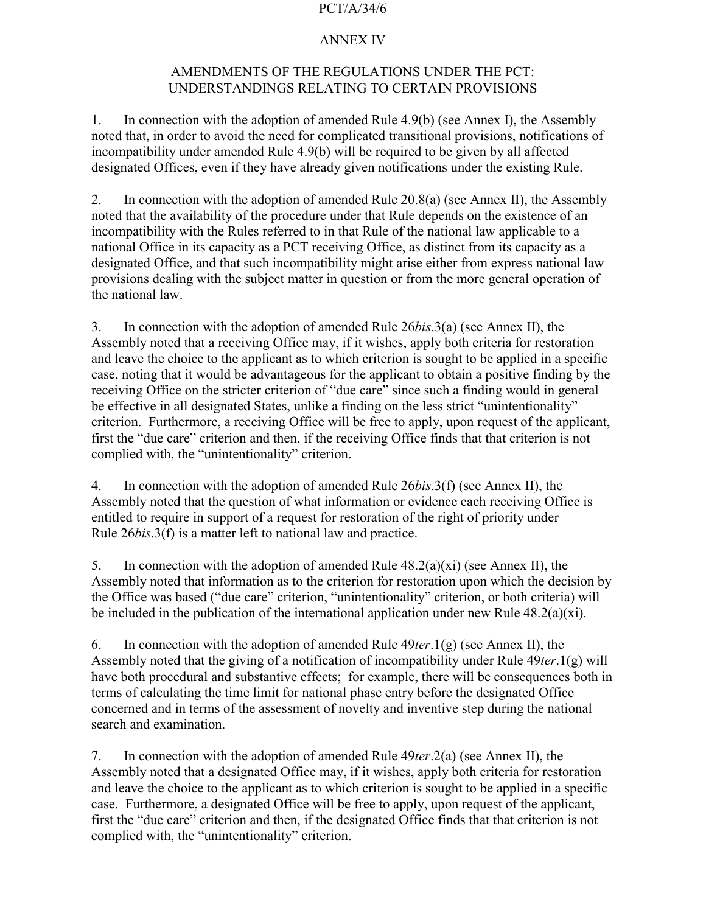## PCT/A/34/6

## ANNEX IV

#### AMENDMENTS OF THE REGULATIONS UNDER THE PCT: UNDERSTANDINGS RELATING TO CERTAIN PROVISIONS

1. In connection with the adoption of amended Rule 4.9(b) (see Annex I), the Assembly noted that, in order to avoid the need for complicated transitional provisions, notifications of incompatibility under amended Rule 4.9(b) will be required to be given by all affected designated Offices, even if they have already given notifications under the existing Rule.

2. In connection with the adoption of amended Rule 20.8(a) (see Annex II), the Assembly noted that the availability of the procedure under that Rule depends on the existence of an incompatibility with the Rules referred to in that Rule of the national law applicable to a national Office in its capacity as a PCT receiving Office, as distinct from its capacity as a designated Office, and that such incompatibility might arise either from express national law provisions dealing with the subject matter in question or from the more general operation of the national law.

3. In connection with the adoption of amended Rule 26*bis*.3(a) (see Annex II), the Assembly noted that a receiving Office may, if it wishes, apply both criteria for restoration and leave the choice to the applicant as to which criterion is sought to be applied in a specific case, noting that it would be advantageous for the applicant to obtain a positive finding by the receiving Office on the stricter criterion of "due care" since such a finding would in general be effective in all designated States, unlike a finding on the less strict "unintentionality" criterion. Furthermore, a receiving Office will be free to apply, upon request of the applicant, first the "due care" criterion and then, if the receiving Office finds that that criterion is not complied with, the "unintentionality" criterion.

4. In connection with the adoption of amended Rule 26*bis*.3(f) (see Annex II), the Assembly noted that the question of what information or evidence each receiving Office is entitled to require in support of a request for restoration of the right of priority under Rule 26*bis*.3(f) is a matter left to national law and practice.

5. In connection with the adoption of amended Rule 48.2(a)(xi) (see Annex II), the Assembly noted that information as to the criterion for restoration upon which the decision by the Office was based ("due care" criterion, "unintentionality" criterion, or both criteria) will be included in the publication of the international application under new Rule  $48.2(a)(xi)$ .

6. In connection with the adoption of amended Rule 49*ter*.1(g) (see Annex II), the Assembly noted that the giving of a notification of incompatibility under Rule 49*ter*.1(g) will have both procedural and substantive effects; for example, there will be consequences both in terms of calculating the time limit for national phase entry before the designated Office concerned and in terms of the assessment of novelty and inventive step during the national search and examination.

7. In connection with the adoption of amended Rule 49*ter*.2(a) (see Annex II), the Assembly noted that a designated Office may, if it wishes, apply both criteria for restoration and leave the choice to the applicant as to which criterion is sought to be applied in a specific case. Furthermore, a designated Office will be free to apply, upon request of the applicant, first the "due care" criterion and then, if the designated Office finds that that criterion is not complied with, the "unintentionality" criterion.